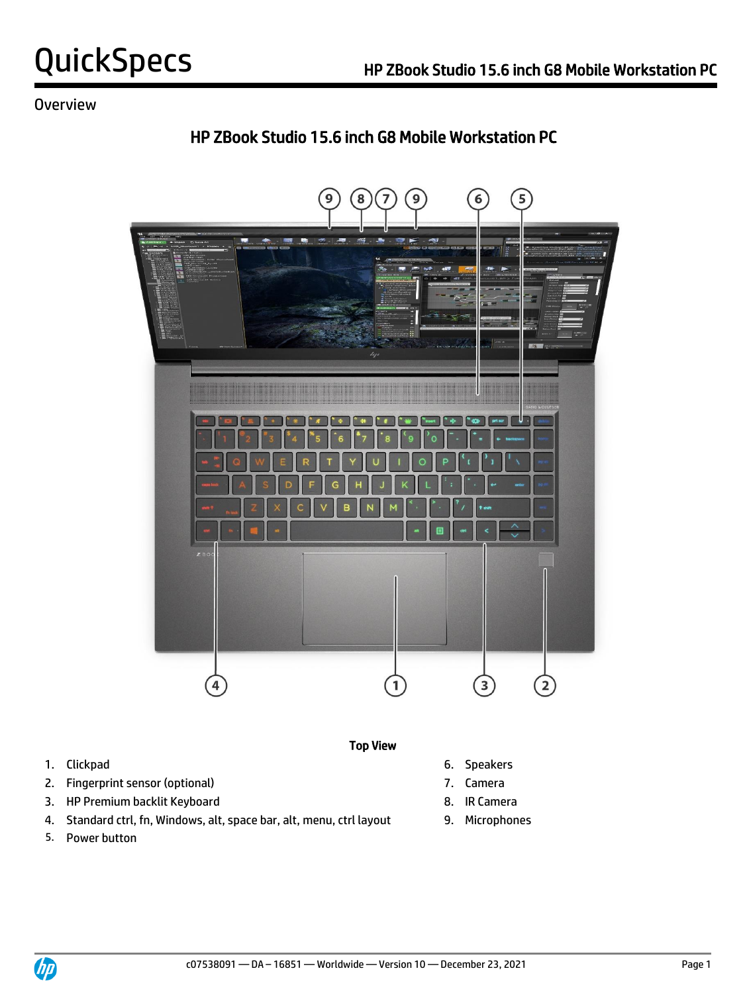# HP ZBook Studio 15.6 inch G8 Mobile Workstation PC



- 1. Clickpad 6. Speakers
- 2. Fingerprint sensor (optional) 2. Camera
- 3. HP Premium backlit Keyboard 8. IR Camera
- 4. Standard ctrl, fn, Windows, alt, space bar, alt, menu, ctrl layout 9. Microphones
- 5. Power button
- -
	-
	-



Top View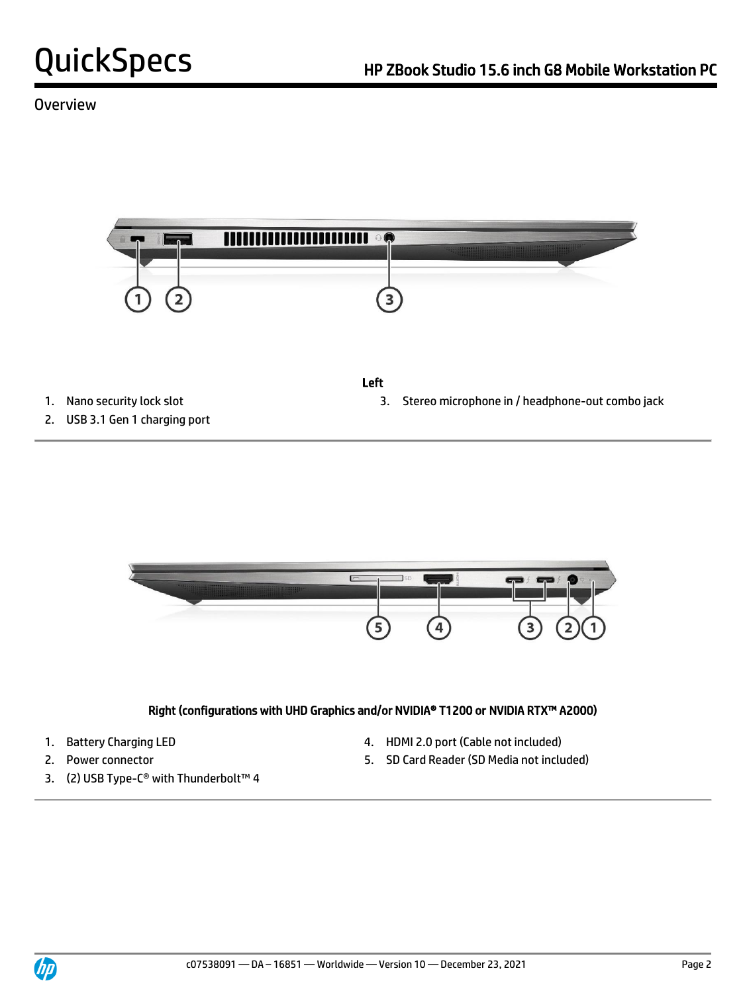

- 
- 2. USB 3.1 Gen 1 charging port
- Left
- 1. Nano security lock slot 3. Stereo microphone in / headphone-out combo jack



### Right (configurations with UHD Graphics and/or NVIDIA® T1200 or NVIDIA RTX™ A2000)

- 
- 
- 3. (2) USB Type-C® with Thunderbolt™ 4
- 1. Battery Charging LED **4. HDMI 2.0 port (Cable not included)**
- 2. Power connector 5. SD Card Reader (SD Media not included)

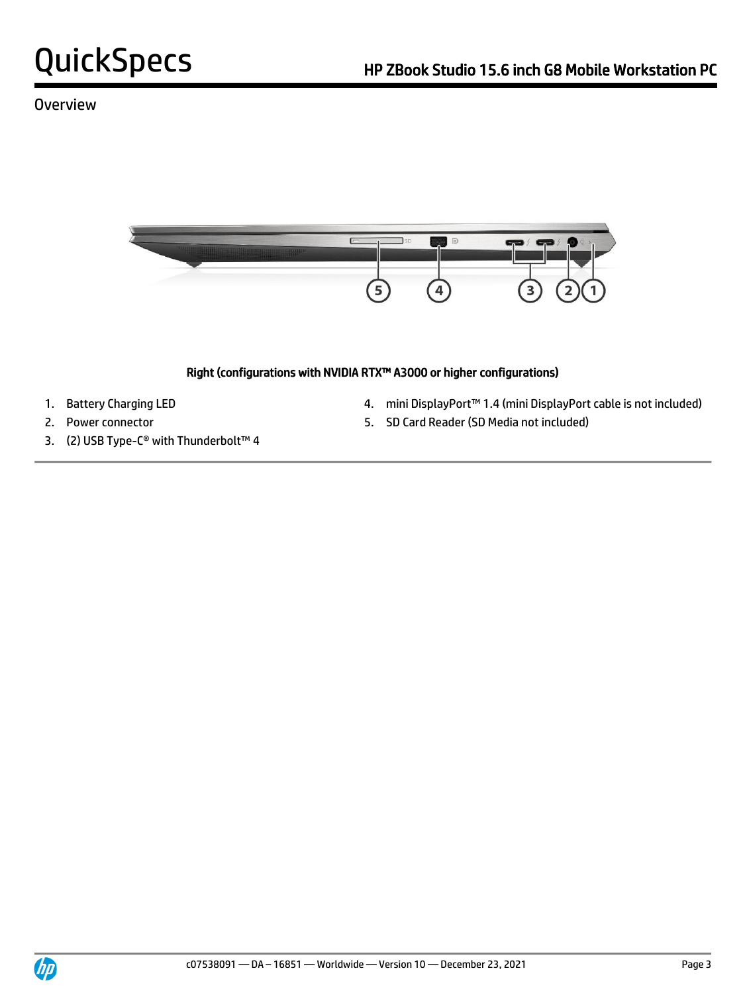

### Right (configurations with NVIDIA RTX™ A3000 or higher configurations)

- 
- 
- 3. (2) USB Type-C® with Thunderbolt™ 4
- 1. Battery Charging LED 4. mini DisplayPort™ 1.4 (mini DisplayPort cable is not included)
- 2. Power connector 5. SD Card Reader (SD Media not included)

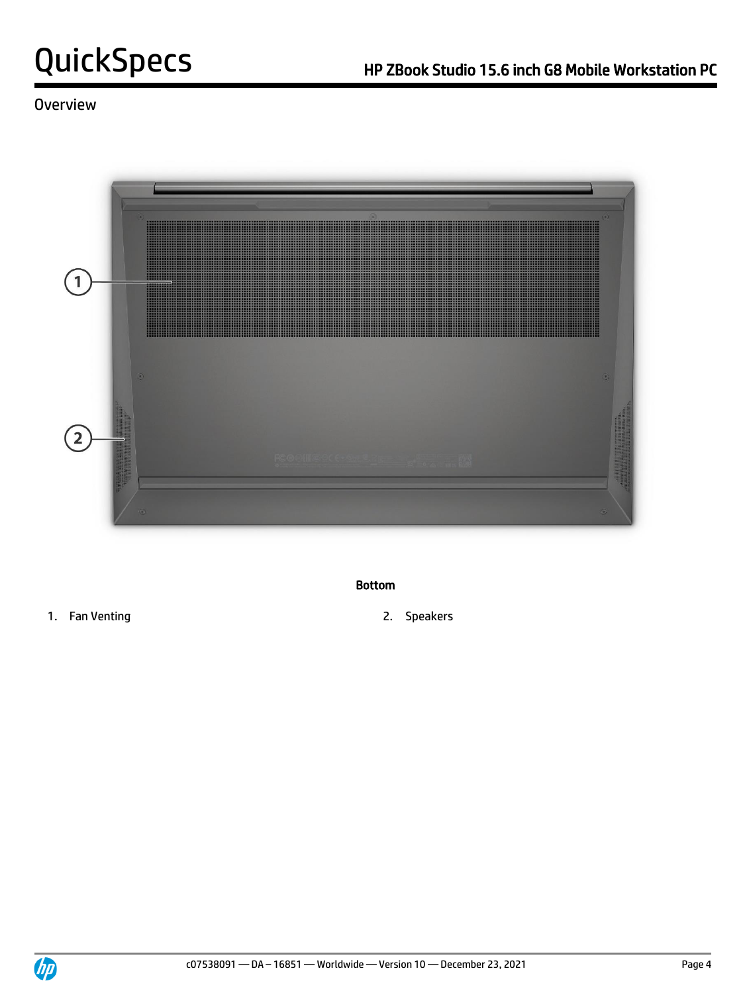

#### Bottom

- 1. Fan Venting 2. Speakers
- 

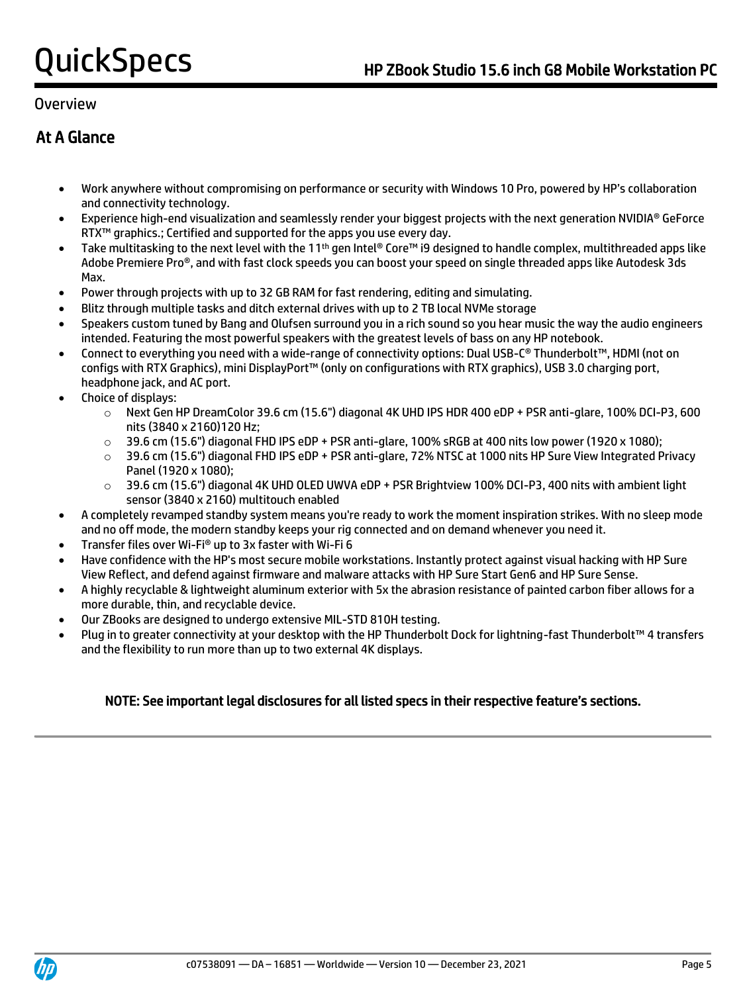# At A Glance

- Work anywhere without compromising on performance or security with Windows 10 Pro, powered by HP's collaboration and connectivity technology.
- Experience high-end visualization and seamlessly render your biggest projects with the next generation NVIDIA® GeForce RTX™ graphics.; Certified and supported for the apps you use every day.
- Take multitasking to the next level with the 11<sup>th</sup> gen Intel® Core™ i9 designed to handle complex, multithreaded apps like Adobe Premiere Pro®, and with fast clock speeds you can boost your speed on single threaded apps like Autodesk 3ds Max.
- Power through projects with up to 32 GB RAM for fast rendering, editing and simulating.
- Blitz through multiple tasks and ditch external drives with up to 2 TB local NVMe storage
- Speakers custom tuned by Bang and Olufsen surround you in a rich sound so you hear music the way the audio engineers intended. Featuring the most powerful speakers with the greatest levels of bass on any HP notebook.
- Connect to everything you need with a wide-range of connectivity options: Dual USB-C® Thunderbolt™, HDMI (not on configs with RTX Graphics), mini DisplayPort™ (only on configurations with RTX graphics), USB 3.0 charging port, headphone jack, and AC port.
- Choice of displays:
	- o Next Gen HP DreamColor 39.6 cm (15.6") diagonal 4K UHD IPS HDR 400 eDP + PSR anti-glare, 100% DCI-P3, 600 nits (3840 x 2160)120 Hz;
	- $\circ$  39.6 cm (15.6") diagonal FHD IPS eDP + PSR anti-glare, 100% sRGB at 400 nits low power (1920 x 1080);
	- o 39.6 cm (15.6") diagonal FHD IPS eDP + PSR anti-glare, 72% NTSC at 1000 nits HP Sure View Integrated Privacy Panel (1920 x 1080);
	- $\circ$  39.6 cm (15.6") diagonal 4K UHD OLED UWVA eDP + PSR Brightview 100% DCI-P3, 400 nits with ambient light sensor (3840 x 2160) multitouch enabled
- A completely revamped standby system means you're ready to work the moment inspiration strikes. With no sleep mode and no off mode, the modern standby keeps your rig connected and on demand whenever you need it.
- Transfer files over Wi-Fi® up to 3x faster with Wi-Fi 6
- Have confidence with the HP's most secure mobile workstations. Instantly protect against visual hacking with HP Sure View Reflect, and defend against firmware and malware attacks with HP Sure Start Gen6 and HP Sure Sense.
- A highly recyclable & lightweight aluminum exterior with 5x the abrasion resistance of painted carbon fiber allows for a more durable, thin, and recyclable device.
- Our ZBooks are designed to undergo extensive MIL-STD 810H testing.
- Plug in to greater connectivity at your desktop with the HP Thunderbolt Dock for lightning-fast Thunderbolt™ 4 transfers and the flexibility to run more than up to two external 4K displays.

### NOTE: See important legal disclosures for all listed specs in their respective feature's sections.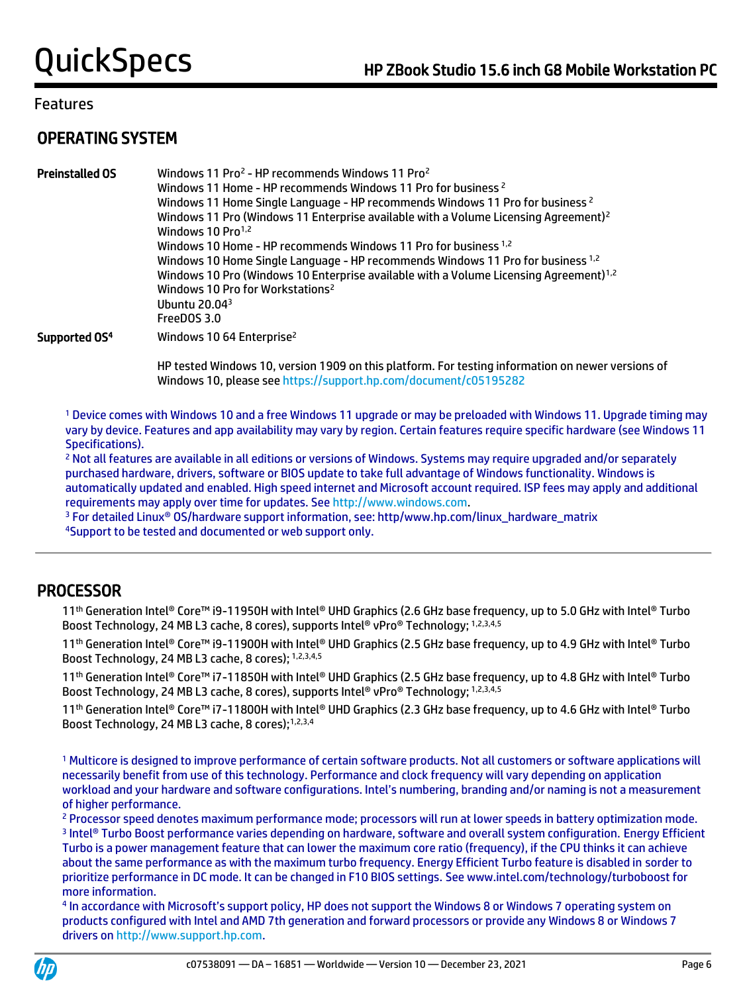# OPERATING SYSTEM

| <b>Preinstalled OS</b>    | Windows 11 Pro <sup>2</sup> - HP recommends Windows 11 Pro <sup>2</sup><br>Windows 11 Home - HP recommends Windows 11 Pro for business <sup>2</sup><br>Windows 11 Home Single Language - HP recommends Windows 11 Pro for business <sup>2</sup><br>Windows 11 Pro (Windows 11 Enterprise available with a Volume Licensing Agreement) <sup>2</sup><br>Windows 10 Pro <sup>1,2</sup><br>Windows 10 Home - HP recommends Windows 11 Pro for business 1,2<br>Windows 10 Home Single Language - HP recommends Windows 11 Pro for business 1,2<br>Windows 10 Pro (Windows 10 Enterprise available with a Volume Licensing Agreement) <sup>1,2</sup><br>Windows 10 Pro for Workstations <sup>2</sup><br>Ubuntu 20.04 $3$<br>FreeDOS 3.0 |
|---------------------------|-----------------------------------------------------------------------------------------------------------------------------------------------------------------------------------------------------------------------------------------------------------------------------------------------------------------------------------------------------------------------------------------------------------------------------------------------------------------------------------------------------------------------------------------------------------------------------------------------------------------------------------------------------------------------------------------------------------------------------------|
| Supported OS <sup>4</sup> | Windows 10 64 Enterprise <sup>2</sup>                                                                                                                                                                                                                                                                                                                                                                                                                                                                                                                                                                                                                                                                                             |

HP tested Windows 10, version 1909 on this platform. For testing information on newer versions of Windows 10, please se[e https://support.hp.com/document/c05195282](https://support.hp.com/document/c05195282)

<sup>1</sup> Device comes with Windows 10 and a free Windows 11 upgrade or may be preloaded with Windows 11. Upgrade timing may vary by device. Features and app availability may vary by region. Certain features require specific hardware (see Windows 11 Specifications).

<sup>2</sup> Not all features are available in all editions or versions of Windows. Systems may require upgraded and/or separately purchased hardware, drivers, software or BIOS update to take full advantage of Windows functionality. Windows is automatically updated and enabled. High speed internet and Microsoft account required. ISP fees may apply and additional requirements may apply over time for updates. Se[e http://www.windows.com.](http://www.windows.com/)

<sup>3</sup> For detailed Linux<sup>®</sup> OS/hardware support information, see: http/www.hp.com/linux\_hardware\_matrix

<sup>4</sup>Support to be tested and documented or web support only.

# PROCESSOR

11th Generation Intel® Core™ i9-11950H with Intel® UHD Graphics (2.6 GHz base frequency, up to 5.0 GHz with Intel® Turbo Boost Technology, 24 MB L3 cache, 8 cores), supports Intel® vPro® Technology; 1,2,3,4,5

11th Generation Intel® Core™ i9-11900H with Intel® UHD Graphics (2.5 GHz base frequency, up to 4.9 GHz with Intel® Turbo Boost Technology, 24 MB L3 cache, 8 cores); 1,2,3,4,5

11th Generation Intel® Core™ i7-11850H with Intel® UHD Graphics (2.5 GHz base frequency, up to 4.8 GHz with Intel® Turbo Boost Technology, 24 MB L3 cache, 8 cores), supports Intel® vPro® Technology: 1,2,3,4,5

11th Generation Intel® Core™ i7-11800H with Intel® UHD Graphics (2.3 GHz base frequency, up to 4.6 GHz with Intel® Turbo Boost Technology, 24 MB L3 cache, 8 cores);1,2,3,4

<sup>1</sup> Multicore is designed to improve performance of certain software products. Not all customers or software applications will necessarily benefit from use of this technology. Performance and clock frequency will vary depending on application workload and your hardware and software configurations. Intel's numbering, branding and/or naming is not a measurement of higher performance.

<sup>2</sup> Processor speed denotes maximum performance mode; processors will run at lower speeds in battery optimization mode. 3 Intel® Turbo Boost performance varies depending on hardware, software and overall system configuration. Energy Efficient Turbo is a power management feature that can lower the maximum core ratio (frequency), if the CPU thinks it can achieve about the same performance as with the maximum turbo frequency. Energy Efficient Turbo feature is disabled in sorder to prioritize performance in DC mode. It can be changed in F10 BIOS settings. See www.intel.com/technology/turboboost for more information.

4 In accordance with Microsoft's support policy, HP does not support the Windows 8 or Windows 7 operating system on products configured with Intel and AMD 7th generation and forward processors or provide any Windows 8 or Windows 7 drivers on [http://www.support.hp.com.](http://www.support.hp.com/)

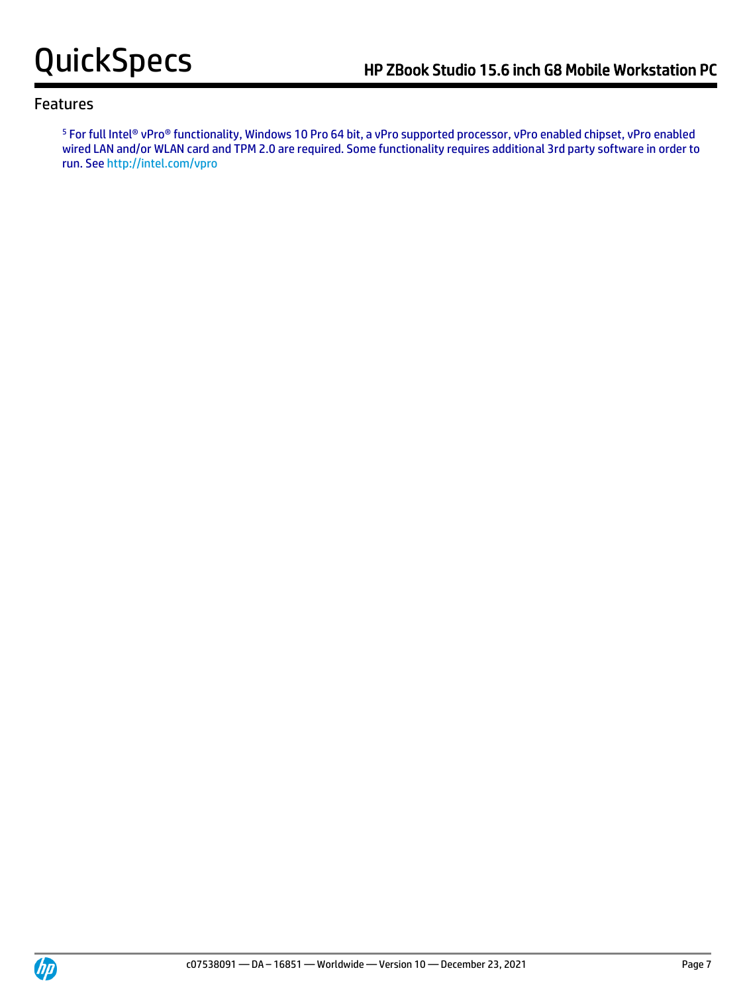<sup>5</sup> For full Intel® vPro® functionality, Windows 10 Pro 64 bit, a vPro supported processor, vPro enabled chipset, vPro enabled wired LAN and/or WLAN card and TPM 2.0 are required. Some functionality requires additional 3rd party software in order to run. Se[e http://intel.com/vpro](http://intel.com/vpro)

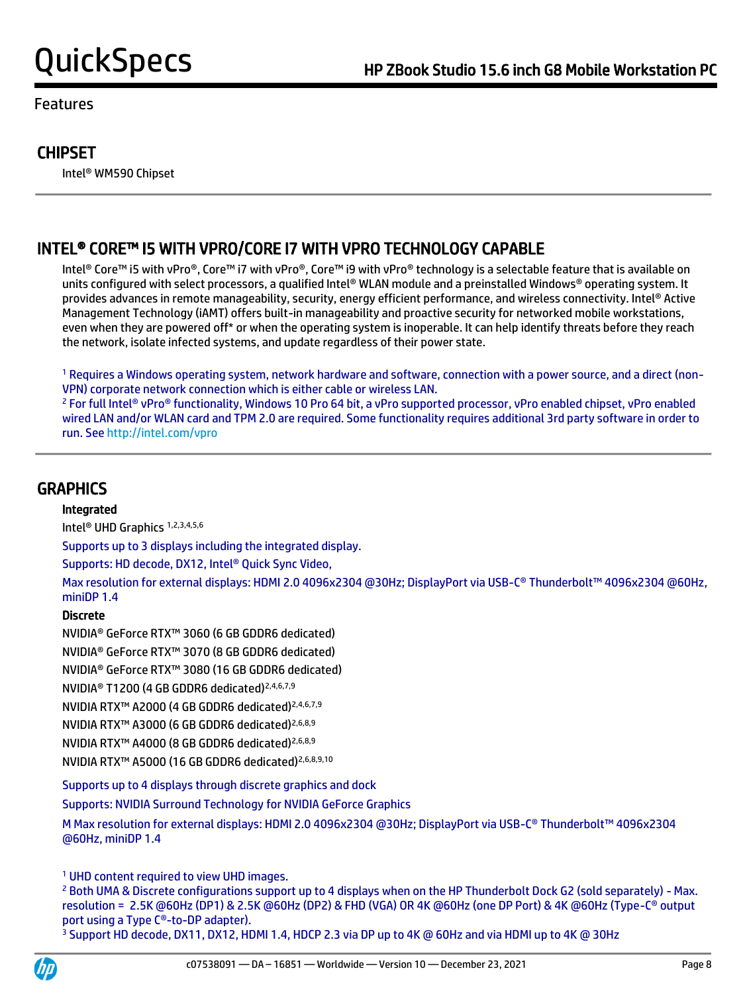# **CHIPSET**

Intel® WM590 Chipset

# INTEL® CORE™ I5 WITH VPRO/CORE I7 WITH VPRO TECHNOLOGY CAPABLE

 Intel® Core™ i5 with vPro®, Core™ i7 with vPro®, Core™ i9 with vPro® technology is a selectable feature that is available on units configured with select processors, a qualified Intel® WLAN module and a preinstalled Windows® operating system. It provides advances in remote manageability, security, energy efficient performance, and wireless connectivity. Intel® Active Management Technology (iAMT) offers built-in manageability and proactive security for networked mobile workstations, even when they are powered off\* or when the operating system is inoperable. It can help identify threats before they reach the network, isolate infected systems, and update regardless of their power state.

<sup>1</sup> Requires a Windows operating system, network hardware and software, connection with a power source, and a direct (non-VPN) corporate network connection which is either cable or wireless LAN.

<sup>2</sup> For full Intel® vPro® functionality, Windows 10 Pro 64 bit, a vPro supported processor, vPro enabled chipset, vPro enabled wired LAN and/or WLAN card and TPM 2.0 are required. Some functionality requires additional 3rd party software in order to run. Se[e http://intel.com/vpro](http://intel.com/vpro)

# **GRAPHICS**

#### Integrated

Intel® UHD Graphics 1,2,3,4,5,6

Supports up to 3 displays including the integrated display.

Supports: HD decode, DX12, Intel® Quick Sync Video,

 Max resolution for external displays: HDMI 2.0 4096x2304 @30Hz; DisplayPort via USB-C® Thunderbolt™ 4096x2304 @60Hz, miniDP 1.4

#### Discrete

 NVIDIA® GeForce RTX™ 3060 (6 GB GDDR6 dedicated) NVIDIA® GeForce RTX™ 3070 (8 GB GDDR6 dedicated) NVIDIA® GeForce RTX™ 3080 (16 GB GDDR6 dedicated) NVIDIA® T1200 (4 GB GDDR6 dedicated)2,4,6,7,9 NVIDIA RTX™ A2000 (4 GB GDDR6 dedicated) 2,4,6,7,9 NVIDIA RTX™ A3000 (6 GB GDDR6 dedicated)2,6,8,9 NVIDIA RTX™ A4000 (8 GB GDDR6 dedicated)2,6,8,9 NVIDIA RTX™ A5000 (16 GB GDDR6 dedicated)2,6,8,9,10

Supports up to 4 displays through discrete graphics and dock

Supports: NVIDIA Surround Technology for NVIDIA GeForce Graphics

M Max resolution for external displays: HDMI 2.0 4096x2304 @30Hz; DisplayPort via USB-C® Thunderbolt™ 4096x2304 @60Hz, miniDP 1.4

<sup>1</sup> UHD content required to view UHD images.

<sup>2</sup> Both UMA & Discrete configurations support up to 4 displays when on the HP Thunderbolt Dock G2 (sold separately) - Max. resolution = 2.5K @60Hz (DP1) & 2.5K @60Hz (DP2) & FHD (VGA) OR 4K @60Hz (one DP Port) & 4K @60Hz (Type-C® output port using a Type C®-to-DP adapter).

<sup>3</sup> Support HD decode, DX11, DX12, HDMI 1.4, HDCP 2.3 via DP up to 4K @ 60Hz and via HDMI up to 4K @ 30Hz

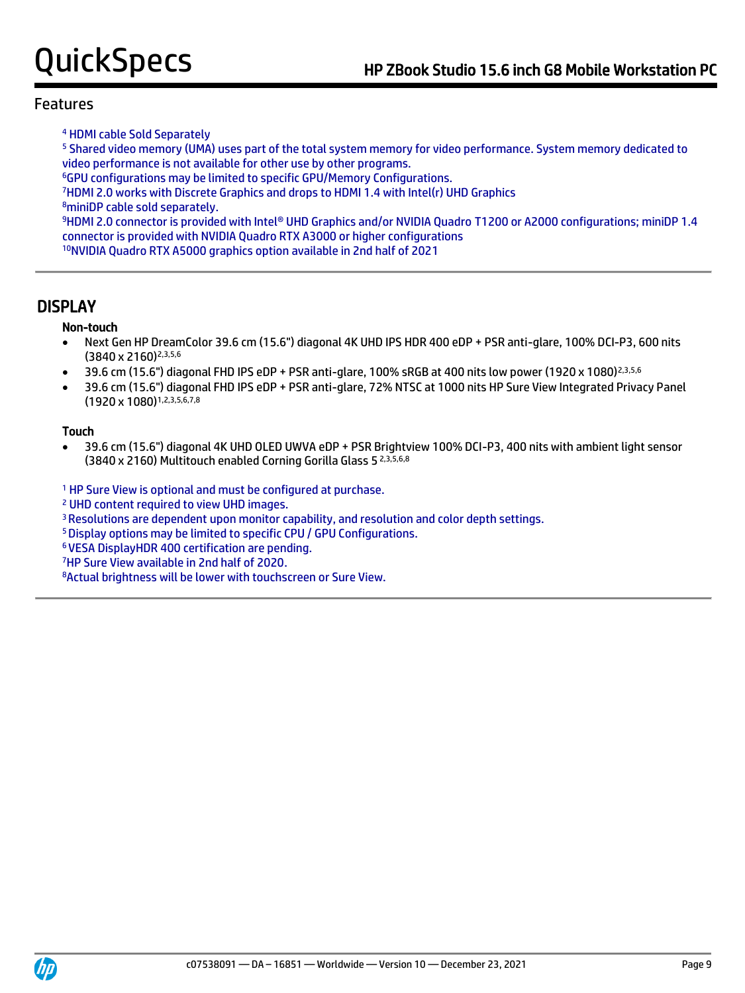<sup>4</sup> HDMI cable Sold Separately

<sup>5</sup> Shared video memory (UMA) uses part of the total system memory for video performance. System memory dedicated to video performance is not available for other use by other programs.

<sup>6</sup>GPU configurations may be limited to specific GPU/Memory Configurations.

<sup>7</sup>HDMI 2.0 works with Discrete Graphics and drops to HDMI 1.4 with Intel(r) UHD Graphics

<sup>8</sup>miniDP cable sold separately.

<sup>9</sup>HDMI 2.0 connector is provided with Intel® UHD Graphics and/or NVIDIA Quadro T1200 or A2000 configurations; miniDP 1.4 connector is provided with NVIDIA Quadro RTX A3000 or higher configurations

<sup>10</sup>NVIDIA Quadro RTX A5000 graphics option available in 2nd half of 2021

# DISPLAY

#### Non-touch

- Next Gen HP DreamColor 39.6 cm (15.6") diagonal 4K UHD IPS HDR 400 eDP + PSR anti-glare, 100% DCI-P3, 600 nits (3840 x 2160)2,3,5,6
- 39.6 cm (15.6") diagonal FHD IPS eDP + PSR anti-glare, 100% sRGB at 400 nits low power (1920 x 1080)2,3,5,6
- 39.6 cm (15.6") diagonal FHD IPS eDP + PSR anti-glare, 72% NTSC at 1000 nits HP Sure View Integrated Privacy Panel (1920 x 1080)1,2,3,5,6,7,8

#### Touch

• 39.6 cm (15.6") diagonal 4K UHD OLED UWVA eDP + PSR Brightview 100% DCI-P3, 400 nits with ambient light sensor (3840 x 2160) Multitouch enabled Corning Gorilla Glass 5 2,3,5,6,8

<sup>1</sup> HP Sure View is optional and must be configured at purchase.

<sup>2</sup> UHD content required to view UHD images.

<sup>3</sup>Resolutions are dependent upon monitor capability, and resolution and color depth settings.

<sup>5</sup>Display options may be limited to specific CPU / GPU Configurations.

<sup>6</sup>VESA DisplayHDR 400 certification are pending.

<sup>7</sup>HP Sure View available in 2nd half of 2020.

8Actual brightness will be lower with touchscreen or Sure View.

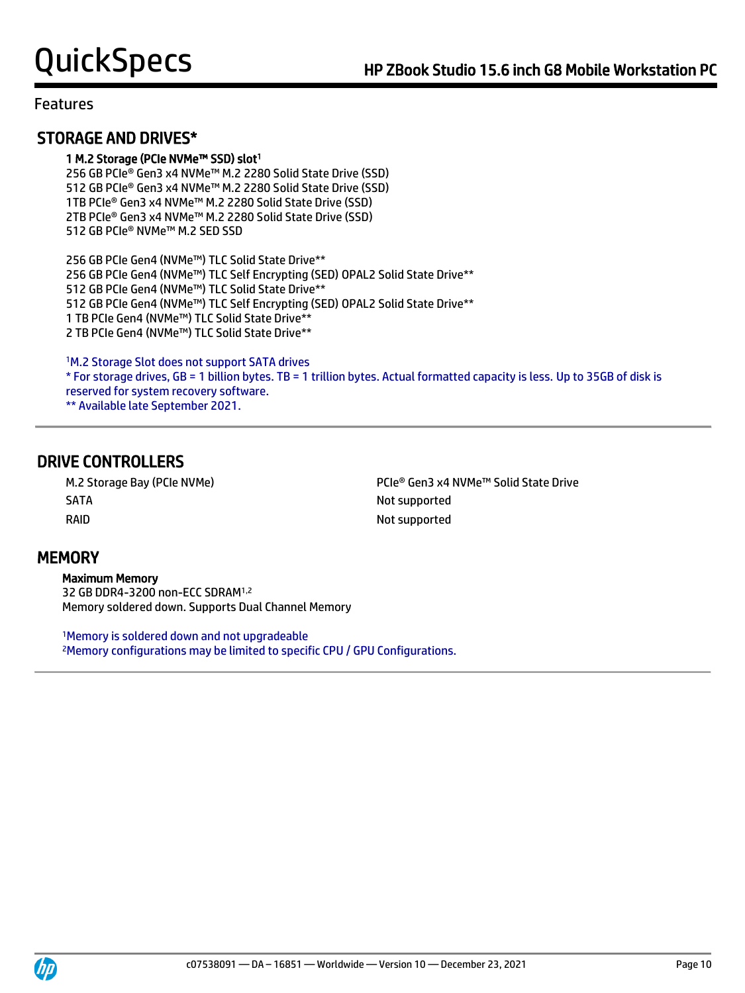# STORAGE AND DRIVES\*

### 1 M.2 Storage (PCIe NVMe™ SSD) slot<sup>1</sup>

256 GB PCIe® Gen3 x4 NVMe™ M.2 2280 Solid State Drive (SSD) 512 GB PCIe® Gen3 x4 NVMe™ M.2 2280 Solid State Drive (SSD) 1TB PCIe® Gen3 x4 NVMe™ M.2 2280 Solid State Drive (SSD) 2TB PCIe® Gen3 x4 NVMe™ M.2 2280 Solid State Drive (SSD) 512 GB PCIe® NVMe™ M.2 SED SSD

256 GB PCIe Gen4 (NVMe™) TLC Solid State Drive\*\* 256 GB PCIe Gen4 (NVMe™) TLC Self Encrypting (SED) OPAL2 Solid State Drive\*\* GB PCIe Gen4 (NVMe™) TLC Solid State Drive\*\* GB PCIe Gen4 (NVMe™) TLC Self Encrypting (SED) OPAL2 Solid State Drive\*\* TB PCIe Gen4 (NVMe™) TLC Solid State Drive\*\* TB PCIe Gen4 (NVMe™) TLC Solid State Drive\*\*

<sup>1</sup>M.2 Storage Slot does not support SATA drives \* For storage drives, GB = 1 billion bytes. TB = 1 trillion bytes. Actual formatted capacity is less. Up to 35GB of disk is reserved for system recovery software. \*\* Available late September 2021.

# DRIVE CONTROLLERS

SATA Not supported RAID Not supported

M.2 Storage Bay (PCIe NVMe) PCIe® Gen3 x4 NVMe™ Solid State Drive

# **MEMORY**

 Maximum Memory 32 GB DDR4-3200 non-ECC SDRAM1,2 Memory soldered down. Supports Dual Channel Memory

<sup>1</sup>Memory is soldered down and not upgradeable 2Memory configurations may be limited to specific CPU / GPU Configurations.



j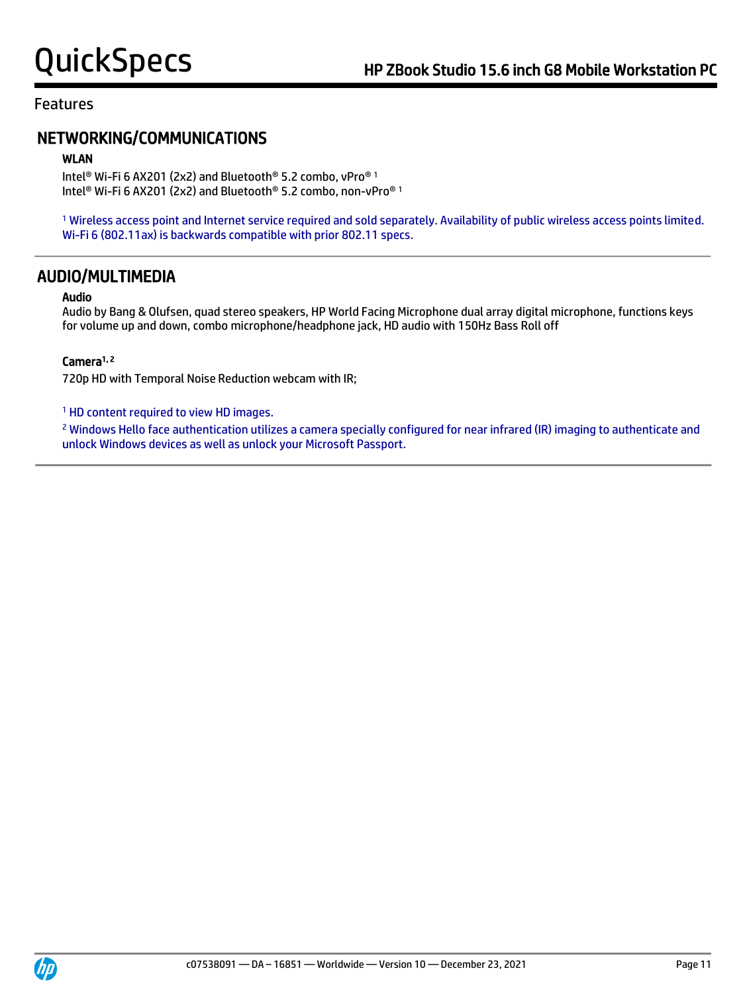# NETWORKING/COMMUNICATIONS

#### WLAN

Intel® Wi-Fi 6 AX201 (2x2) and Bluetooth® 5.2 combo, vPro® 1 Intel® Wi-Fi 6 AX201 (2x2) and Bluetooth® 5.2 combo, non-vPro® 1

<sup>1</sup> Wireless access point and Internet service required and sold separately. Availability of public wireless access points limited. Wi-Fi 6 (802.11ax) is backwards compatible with prior 802.11 specs.

### AUDIO/MULTIMEDIA

#### Audio

Audio by Bang & Olufsen, quad stereo speakers, HP World Facing Microphone dual array digital microphone, functions keys for volume up and down, combo microphone/headphone jack, HD audio with 150Hz Bass Roll off

#### Camera<sup>1, 2</sup>

720p HD with Temporal Noise Reduction webcam with IR;

<sup>1</sup> HD content required to view HD images.

<sup>2</sup> Windows Hello face authentication utilizes a camera specially configured for near infrared (IR) imaging to authenticate and unlock Windows devices as well as unlock your Microsoft Passport.

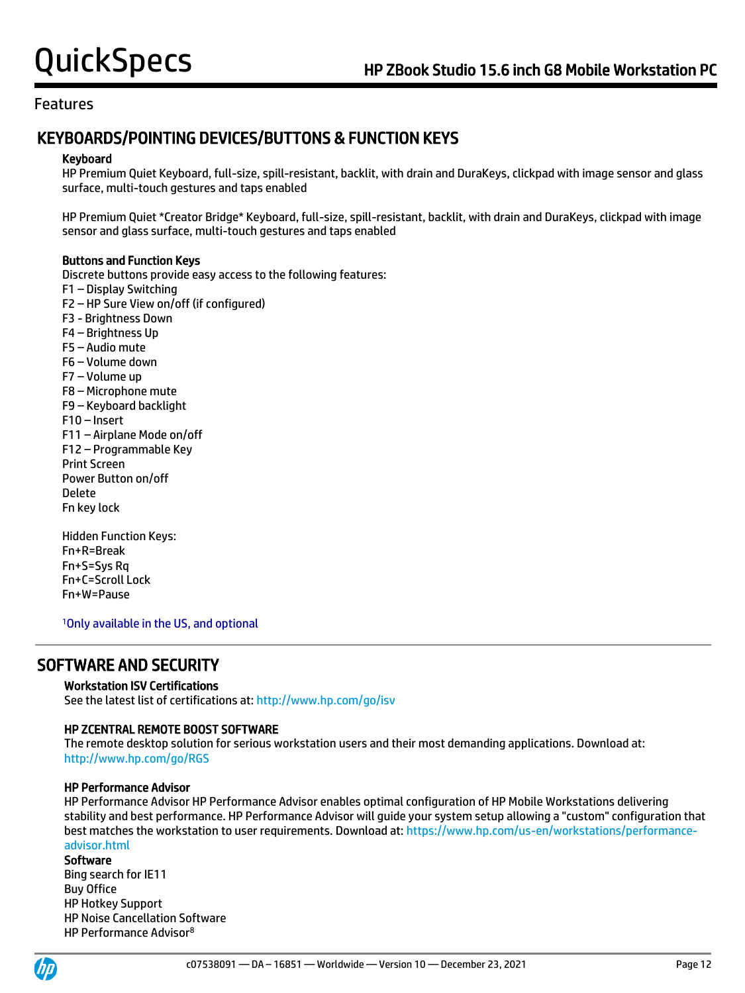# KEYBOARDS/POINTING DEVICES/BUTTONS & FUNCTION KEYS

#### Keyboard

HP Premium Quiet Keyboard, full-size, spill-resistant, backlit, with drain and DuraKeys, clickpad with image sensor and glass surface, multi-touch gestures and taps enabled

HP Premium Quiet \*Creator Bridge\* Keyboard, full-size, spill-resistant, backlit, with drain and DuraKeys, clickpad with image sensor and glass surface, multi-touch gestures and taps enabled

#### Buttons and Function Keys

Discrete buttons provide easy access to the following features: F1 – Display Switching F2 – HP Sure View on/off (if configured) F3 - Brightness Down F4 – Brightness Up F5 – Audio mute F6 – Volume down F7 – Volume up F8 – Microphone mute F9 – Keyboard backlight F10 – Insert F11 – Airplane Mode on/off F12 – Programmable Key Print Screen Power Button on/off Delete Fn key lock Hidden Function Keys:

Fn+R=Break Fn+S=Sys Rq Fn+C=Scroll Lock Fn+W=Pause

<sup>1</sup>Only available in the US, and optional

# SOFTWARE AND SECURITY

#### Workstation ISV Certifications

See the latest list of certifications at[: http://www.hp.com/go/isv](http://www.hp.com/go/isv)

#### HP ZCENTRAL REMOTE BOOST SOFTWARE

The remote desktop solution for serious workstation users and their most demanding applications. Download at: <http://www.hp.com/go/RGS>

#### HP Performance Advisor

HP Performance Advisor HP Performance Advisor enables optimal configuration of HP Mobile Workstations delivering stability and best performance. HP Performance Advisor will guide your system setup allowing a "custom" configuration that best matches the workstation to user requirements. Download at: [https://www.hp.com/us-en/workstations/performance](https://www.hp.com/us-en/workstations/performance-advisor.html)[advisor.html](https://www.hp.com/us-en/workstations/performance-advisor.html)

#### **Software**

Bing search for IE11 Buy Office HP Hotkey Support HP Noise Cancellation Software HP Performance Advisor8

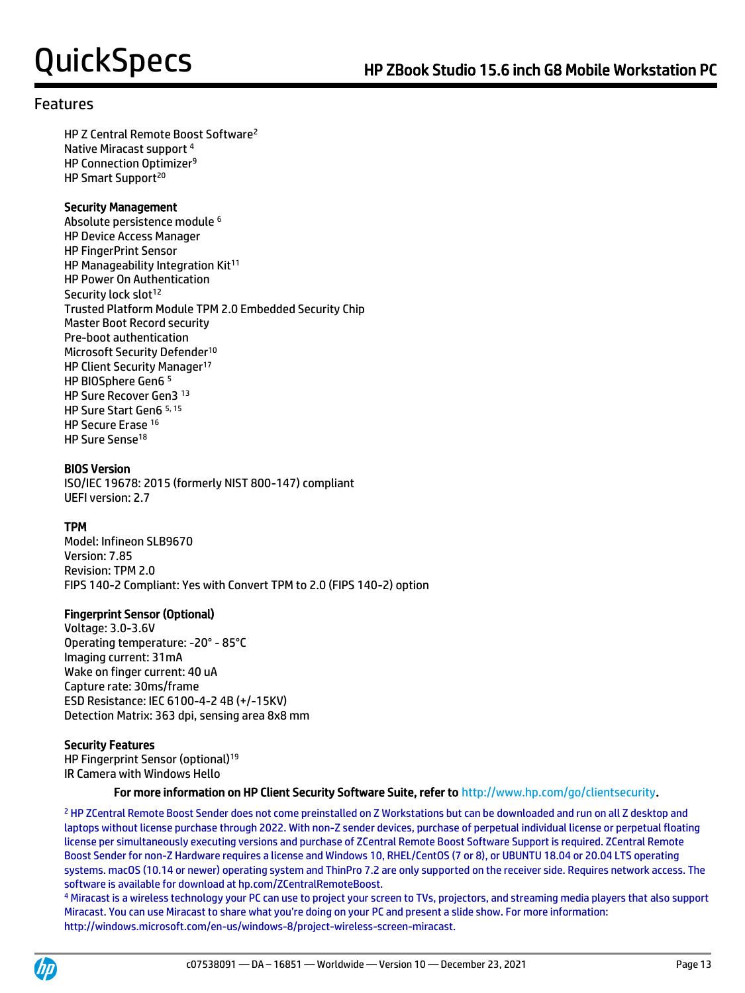HP Z Central Remote Boost Software<sup>2</sup> Native Miracast support <sup>4</sup> HP Connection Optimizer<sup>9</sup> HP Smart Support<sup>20</sup>

#### Security Management

Absolute persistence module <sup>6</sup> HP Device Access Manager HP FingerPrint Sensor HP Manageability Integration Kit<sup>11</sup> HP Power On Authentication Security lock slot<sup>12</sup> Trusted Platform Module TPM 2.0 Embedded Security Chip Master Boot Record security Pre-boot authentication Microsoft Security Defender<sup>10</sup> HP Client Security Manager<sup>17</sup> HP BIOSphere Gen6 <sup>5</sup> HP Sure Recover Gen3 <sup>13</sup> HP Sure Start Gen6 5, 15 HP Secure Erase <sup>16</sup> HP Sure Sense<sup>18</sup>

#### BIOS Version

ISO/IEC 19678: 2015 (formerly NIST 800-147) compliant UEFI version: 2.7

#### TPM

Model: Infineon SLB9670 Version: 7.85 Revision: TPM 2.0 FIPS 140-2 Compliant: Yes with Convert TPM to 2.0 (FIPS 140-2) option

#### Fingerprint Sensor (Optional)

Voltage: 3.0-3.6V Operating temperature: -20° - 85°C Imaging current: 31mA Wake on finger current: 40 uA Capture rate: 30ms/frame ESD Resistance: IEC 6100-4-2 4B (+/-15KV) Detection Matrix: 363 dpi, sensing area 8x8 mm

#### Security Features

HP Fingerprint Sensor (optional)<sup>19</sup> IR Camera with Windows Hello

#### For more information on HP Client Security Software Suite, refer to [http://www.hp.com/go/clientsecurity.](http://www.hp.com/go/clientsecurity)

<sup>2</sup> HP ZCentral Remote Boost Sender does not come preinstalled on Z Workstations but can be downloaded and run on all Z desktop and laptops without license purchase through 2022. With non-Z sender devices, purchase of perpetual individual license or perpetual floating license per simultaneously executing versions and purchase of ZCentral Remote Boost Software Support is required. ZCentral Remote Boost Sender for non-Z Hardware requires a license and Windows 10, RHEL/CentOS (7 or 8), or UBUNTU 18.04 or 20.04 LTS operating systems. macOS (10.14 or newer) operating system and ThinPro 7.2 are only supported on the receiver side. Requires network access. The software is available for download at hp.com/ZCentralRemoteBoost.

4 Miracast is a wireless technology your PC can use to project your screen to TVs, projectors, and streaming media players that also support Miracast. You can use Miracast to share what you're doing on your PC and present a slide show. For more information: http://windows.microsoft.com/en-us/windows-8/project-wireless-screen-miracast.

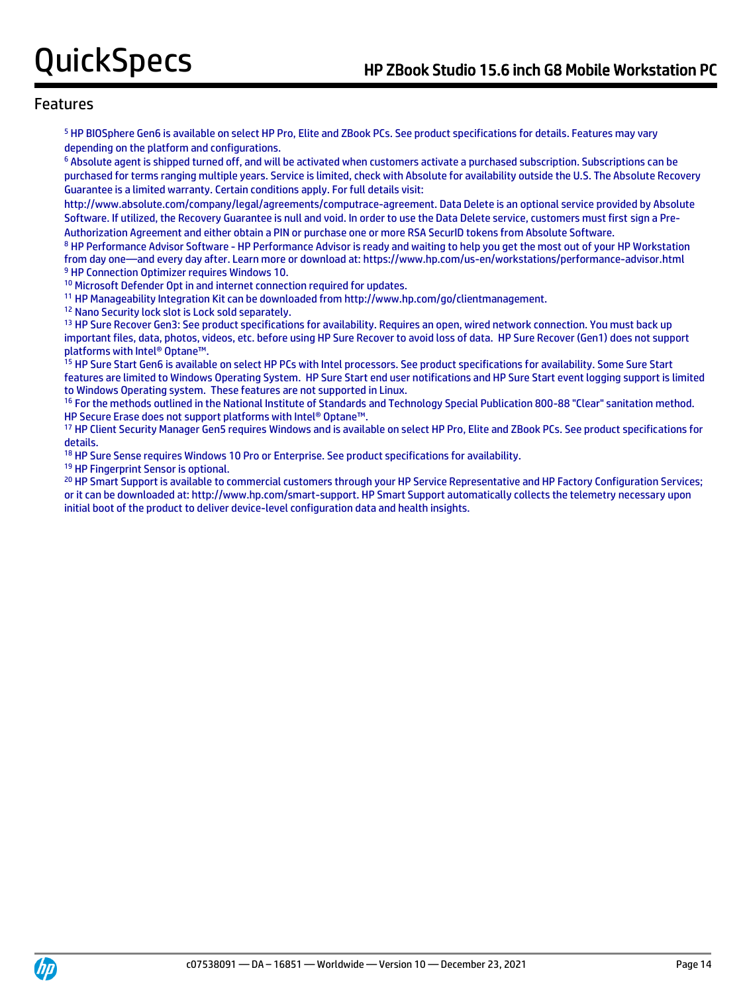<sup>5</sup> HP BIOSphere Gen6 is available on select HP Pro, Elite and ZBook PCs. See product specifications for details. Features may vary depending on the platform and configurations.

<sup>6</sup> Absolute agent is shipped turned off, and will be activated when customers activate a purchased subscription. Subscriptions can be purchased for terms ranging multiple years. Service is limited, check with Absolute for availability outside the U.S. The Absolute Recovery Guarantee is a limited warranty. Certain conditions apply. For full details visit:

http://www.absolute.com/company/legal/agreements/computrace-agreement. Data Delete is an optional service provided by Absolute Software. If utilized, the Recovery Guarantee is null and void. In order to use the Data Delete service, customers must first sign a Pre-Authorization Agreement and either obtain a PIN or purchase one or more RSA SecurID tokens from Absolute Software.

<sup>8</sup> HP Performance Advisor Software - HP Performance Advisor is ready and waiting to help you get the most out of your HP Workstation from day one—and every day after. Learn more or download at: https://www.hp.com/us-en/workstations/performance-advisor.html <sup>9</sup> HP Connection Optimizer requires Windows 10.

<sup>10</sup> Microsoft Defender Opt in and internet connection required for updates.

<sup>11</sup> HP Manageability Integration Kit can be downloaded from http://www.hp.com/go/clientmanagement.

<sup>12</sup> Nano Security lock slot is Lock sold separately.

<sup>13</sup> HP Sure Recover Gen3: See product specifications for availability. Requires an open, wired network connection. You must back up important files, data, photos, videos, etc. before using HP Sure Recover to avoid loss of data. HP Sure Recover (Gen1) does not support platforms with Intel® Optane™.

15 HP Sure Start Gen6 is available on select HP PCs with Intel processors. See product specifications for availability. Some Sure Start features are limited to Windows Operating System. HP Sure Start end user notifications and HP Sure Start event logging support is limited to Windows Operating system. These features are not supported in Linux.

<sup>16</sup> For the methods outlined in the National Institute of Standards and Technology Special Publication 800-88 "Clear" sanitation method. HP Secure Erase does not support platforms with Intel® Optane™.

<sup>17</sup> HP Client Security Manager Gen5 requires Windows and is available on select HP Pro, Elite and ZBook PCs. See product specifications for details.

<sup>18</sup> HP Sure Sense requires Windows 10 Pro or Enterprise. See product specifications for availability.

<sup>19</sup> HP Fingerprint Sensor is optional.

<sup>20</sup> HP Smart Support is available to commercial customers through your HP Service Representative and HP Factory Configuration Services; or it can be downloaded at: http://www.hp.com/smart-support. HP Smart Support automatically collects the telemetry necessary upon initial boot of the product to deliver device-level configuration data and health insights.

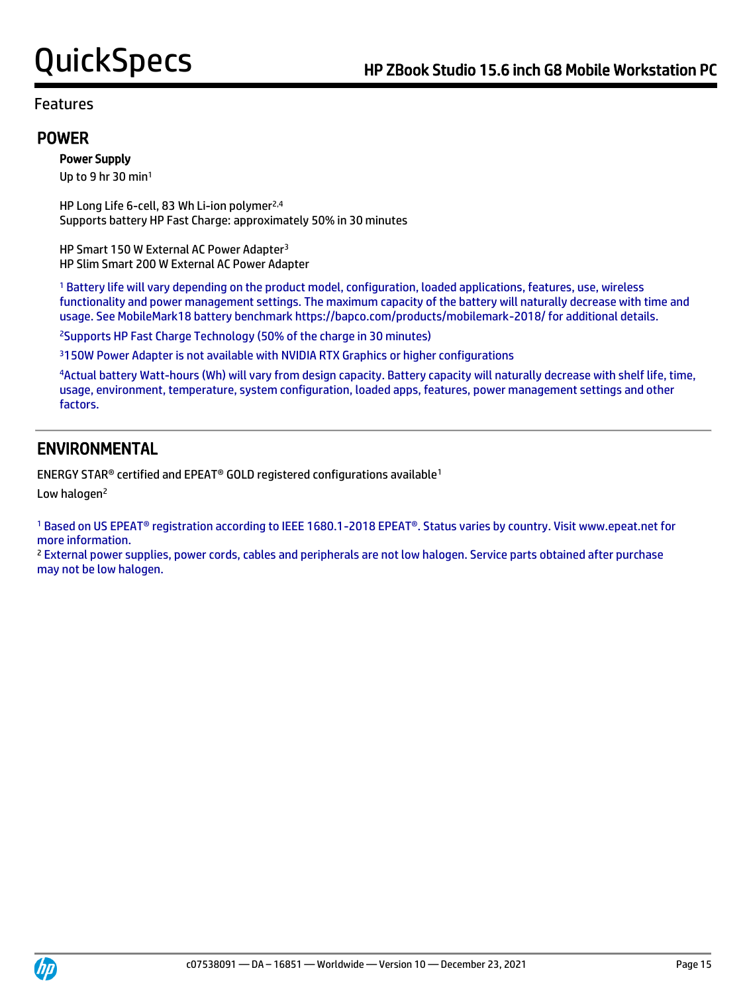### POWER

### Power Supply

Up to 9 hr 30 min<sup>1</sup>

HP Long Life 6-cell, 83 Wh Li-ion polymer<sup>2,4</sup> Supports battery HP Fast Charge: approximately 50% in 30 minutes

HP Smart 150 W External AC Power Adapter<sup>3</sup> HP Slim Smart 200 W External AC Power Adapter

<sup>1</sup> Battery life will vary depending on the product model, configuration, loaded applications, features, use, wireless functionality and power management settings. The maximum capacity of the battery will naturally decrease with time and usage. See MobileMark18 battery benchmark https://bapco.com/products/mobilemark-2018/ for additional details.

<sup>2</sup>Supports HP Fast Charge Technology (50% of the charge in 30 minutes)

<sup>3</sup>150W Power Adapter is not available with NVIDIA RTX Graphics or higher configurations

<sup>4</sup>Actual battery Watt-hours (Wh) will vary from design capacity. Battery capacity will naturally decrease with shelf life, time, usage, environment, temperature, system configuration, loaded apps, features, power management settings and other factors.

# ENVIRONMENTAL

ENERGY STAR® certified and EPEAT® GOLD registered configurations available<sup>1</sup>

Low halogen<sup>2</sup>

<sup>1</sup> Based on US EPEAT® registration according to IEEE 1680.1-2018 EPEAT®. Status varies by country. Visit www.epeat.net for more information.

<sup>2</sup> External power supplies, power cords, cables and peripherals are not low halogen. Service parts obtained after purchase may not be low halogen.

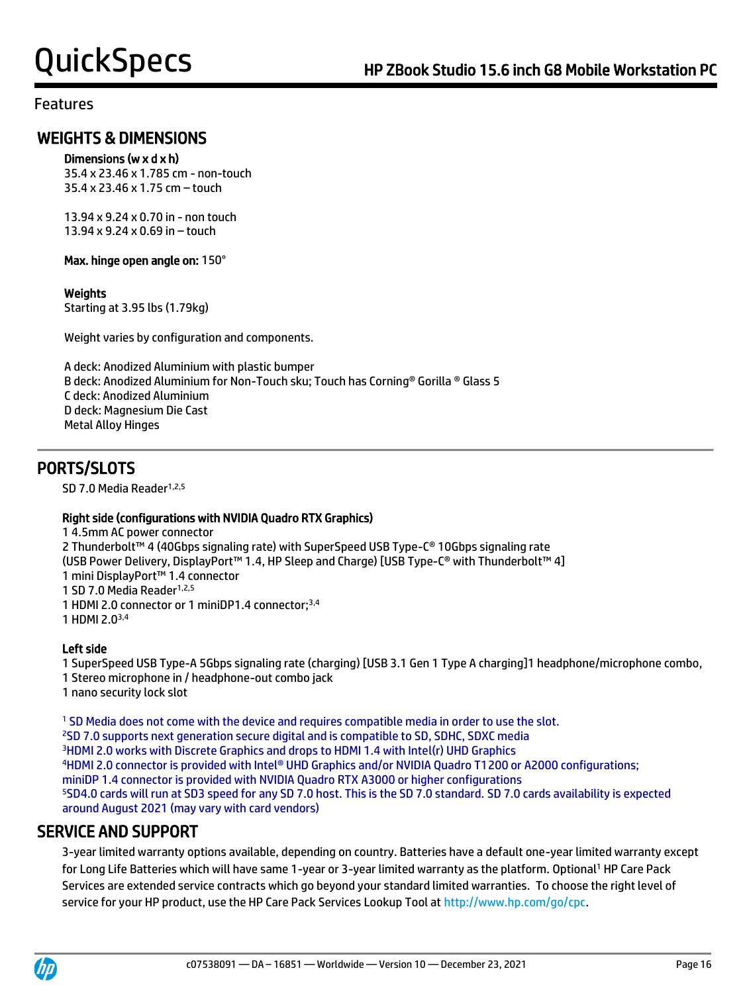# WEIGHTS & DIMENSIONS

#### Dimensions (w x d x h)

35.4 x 23.46 x 1.785 cm - non-touch 35.4 x 23.46 x 1.75 cm – touch

13.94 x 9.24 x 0.70 in - non touch 13.94 x 9.24 x 0.69 in – touch

Max. hinge open angle on: 150°

#### Weights

Starting at 3.95 lbs (1.79kg)

Weight varies by configuration and components.

A deck: Anodized Aluminium with plastic bumper B deck: Anodized Aluminium for Non-Touch sku; Touch has Corning® Gorilla ® Glass 5 C deck: Anodized Aluminium D deck: Magnesium Die Cast Metal Alloy Hinges

# PORTS/SLOTS

SD 7.0 Media Reader<sup>1,2,5</sup>

#### Right side (configurations with NVIDIA Quadro RTX Graphics)

1 4.5mm AC power connector 2 Thunderbolt™ 4 (40Gbps signaling rate) with SuperSpeed USB Type-C® 10Gbps signaling rate (USB Power Delivery, DisplayPort™ 1.4, HP Sleep and Charge) [USB Type-C® with Thunderbolt™ 4] 1 mini DisplayPort™ 1.4 connector 1 SD 7.0 Media Reader<sup>1,2,5</sup> 1 HDMI 2.0 connector or 1 miniDP1.4 connector;3,4 1 HDMI 2.03,4

### Left side

1 SuperSpeed USB Type-A 5Gbps signaling rate (charging) [USB 3.1 Gen 1 Type A charging]1 headphone/microphone combo, 1 Stereo microphone in / headphone-out combo jack 1 nano security lock slot

 SD Media does not come with the device and requires compatible media in order to use the slot. SD 7.0 supports next generation secure digital and is compatible to SD, SDHC, SDXC media HDMI 2.0 works with Discrete Graphics and drops to HDMI 1.4 with Intel(r) UHD Graphics HDMI 2.0 connector is provided with Intel® UHD Graphics and/or NVIDIA Quadro T1200 or A2000 configurations; miniDP 1.4 connector is provided with NVIDIA Quadro RTX A3000 or higher configurations SD4.0 cards will run at SD3 speed for any SD 7.0 host. This is the SD 7.0 standard. SD 7.0 cards availability is expected around August 2021 (may vary with card vendors)

# SERVICE AND SUPPORT

 3-year limited warranty options available, depending on country. Batteries have a default one-year limited warranty except for Long Life Batteries which will have same 1-year or 3-year limited warranty as the platform. Optional<sup>1</sup> HP Care Pack Services are extended service contracts which go beyond your standard limited warranties. To choose the right level of service for your HP product, use the HP Care Pack Services Lookup Tool at [http://www.hp.com/go/cpc.](http://www.hp.com/go/cpc)

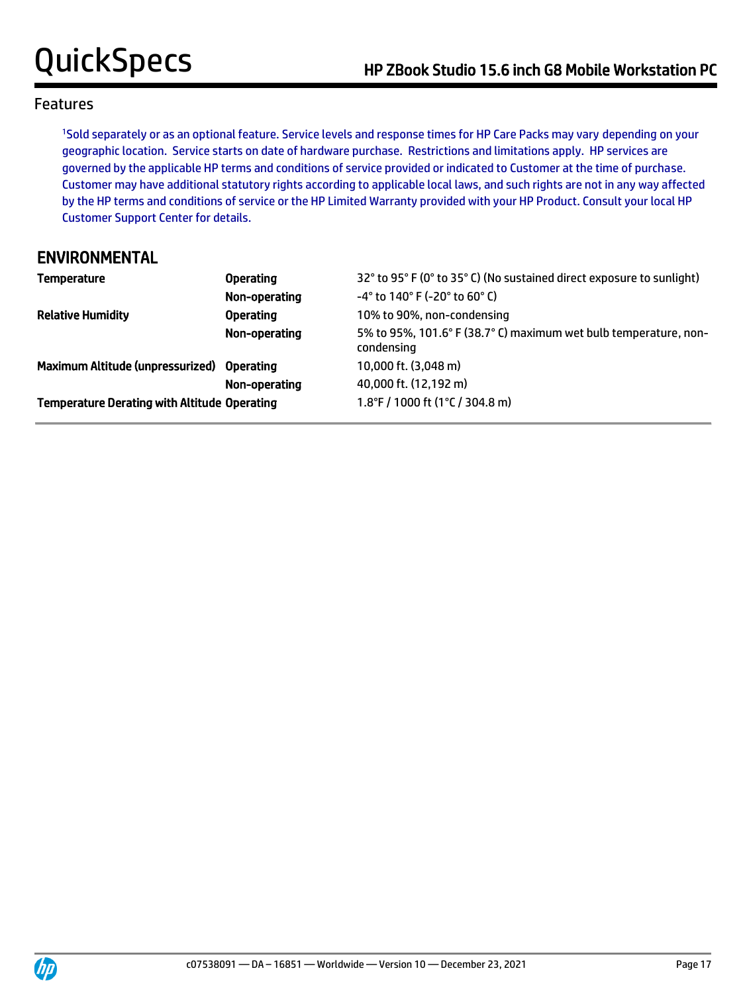<sup>1</sup>Sold separately or as an optional feature. Service levels and response times for HP Care Packs may vary depending on your geographic location. Service starts on date of hardware purchase. Restrictions and limitations apply. HP services are governed by the applicable HP terms and conditions of service provided or indicated to Customer at the time of purchase. Customer may have additional statutory rights according to applicable local laws, and such rights are not in any way affected by the HP terms and conditions of service or the HP Limited Warranty provided with your HP Product. Consult your local HP Customer Support Center for details.

# ENVIRONMENTAL

| Temperature                                         | <b>Operating</b> | 32° to 95° F (0° to 35° C) (No sustained direct exposure to sunlight)          |
|-----------------------------------------------------|------------------|--------------------------------------------------------------------------------|
|                                                     | Non-operating    | $-4^{\circ}$ to 140° F (-20° to 60° C)                                         |
| <b>Relative Humidity</b>                            | <b>Operating</b> | 10% to 90%, non-condensing                                                     |
|                                                     | Non-operating    | 5% to 95%, 101.6° F (38.7° C) maximum wet bulb temperature, non-<br>condensing |
| Maximum Altitude (unpressurized) Operating          |                  | 10,000 ft. (3,048 m)                                                           |
|                                                     | Non-operating    | 40,000 ft. (12,192 m)                                                          |
| <b>Temperature Derating with Altitude Operating</b> |                  | 1.8°F / 1000 ft (1°C / 304.8 m)                                                |

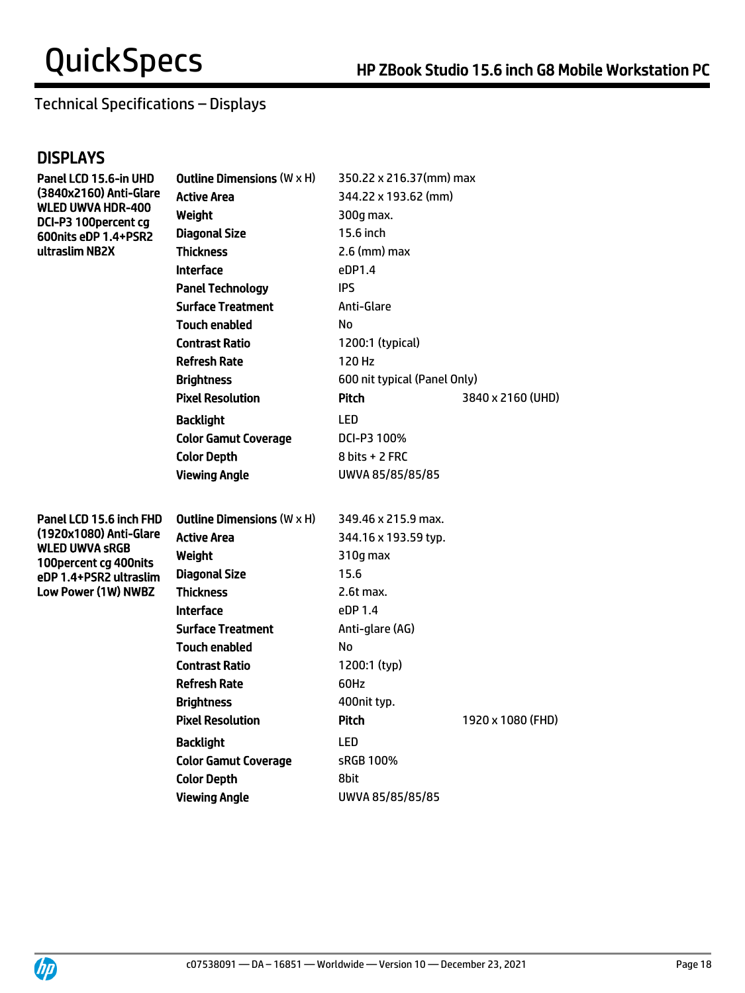# Technical Specifications – Displays

# **DISPLAYS**

| Panel LCD 15.6-in UHD                                                       | <b>Outline Dimensions (W x H)</b> | 350.22 x 216.37(mm) max      |                   |  |
|-----------------------------------------------------------------------------|-----------------------------------|------------------------------|-------------------|--|
| (3840x2160) Anti-Glare<br><b>WLED UWVA HDR-400</b><br>DCI-P3 100 percent cg | <b>Active Area</b>                | 344.22 x 193.62 (mm)         |                   |  |
|                                                                             | Weight                            | 300q max.                    |                   |  |
| 600nits eDP 1.4+PSR2                                                        | <b>Diagonal Size</b>              | 15.6 inch                    |                   |  |
| ultraslim NB2X                                                              | <b>Thickness</b>                  | $2.6$ (mm) max               |                   |  |
|                                                                             | <b>Interface</b>                  | eDP1.4                       |                   |  |
|                                                                             | <b>Panel Technology</b>           | <b>IPS</b>                   |                   |  |
|                                                                             | <b>Surface Treatment</b>          | Anti-Glare                   |                   |  |
|                                                                             | <b>Touch enabled</b>              | No                           |                   |  |
|                                                                             | <b>Contrast Ratio</b>             | 1200:1 (typical)             |                   |  |
|                                                                             | <b>Refresh Rate</b>               | 120 Hz                       |                   |  |
|                                                                             | <b>Brightness</b>                 | 600 nit typical (Panel Only) |                   |  |
|                                                                             | <b>Pixel Resolution</b>           | <b>Pitch</b>                 | 3840 x 2160 (UHD) |  |
|                                                                             | <b>Backlight</b>                  | LED                          |                   |  |
|                                                                             | <b>Color Gamut Coverage</b>       | DCI-P3 100%                  |                   |  |
|                                                                             | <b>Color Depth</b>                | 8 bits + 2 FRC               |                   |  |
|                                                                             | <b>Viewing Angle</b>              | UWVA 85/85/85/85             |                   |  |
|                                                                             |                                   |                              |                   |  |
| Panel LCD 15.6 inch FHD                                                     | Outline Dimensions $(W \times H)$ | 349.46 x 215.9 max.          |                   |  |
| (1920x1080) Anti-Glare                                                      | <b>Active Area</b>                | 344.16 x 193.59 typ.         |                   |  |
| <b>WLED UWVA SRGB</b><br>100percent cg 400nits                              | Weight                            | 310g max                     |                   |  |
| eDP 1.4+PSR2 ultraslim                                                      | <b>Diagonal Size</b>              | 15.6                         |                   |  |
| Low Power (1W) NWBZ                                                         | <b>Thickness</b>                  | 2.6t max.                    |                   |  |
|                                                                             | <b>Interface</b>                  | eDP 1.4                      |                   |  |
|                                                                             | <b>Surface Treatment</b>          | Anti-glare (AG)              |                   |  |
|                                                                             | Touch enabled                     | No                           |                   |  |
|                                                                             | <b>Contrast Ratio</b>             | 1200:1 (typ)                 |                   |  |
|                                                                             | <b>Refresh Rate</b>               | 60Hz                         |                   |  |
|                                                                             | <b>Brightness</b>                 | 400nit typ.                  |                   |  |
|                                                                             | <b>Pixel Resolution</b>           | Pitch                        | 1920 x 1080 (FHD) |  |
|                                                                             | <b>Backlight</b>                  | <b>LED</b>                   |                   |  |
|                                                                             |                                   | sRGB 100%                    |                   |  |
|                                                                             | <b>Color Gamut Coverage</b>       |                              |                   |  |
|                                                                             | <b>Color Depth</b>                | 8bit                         |                   |  |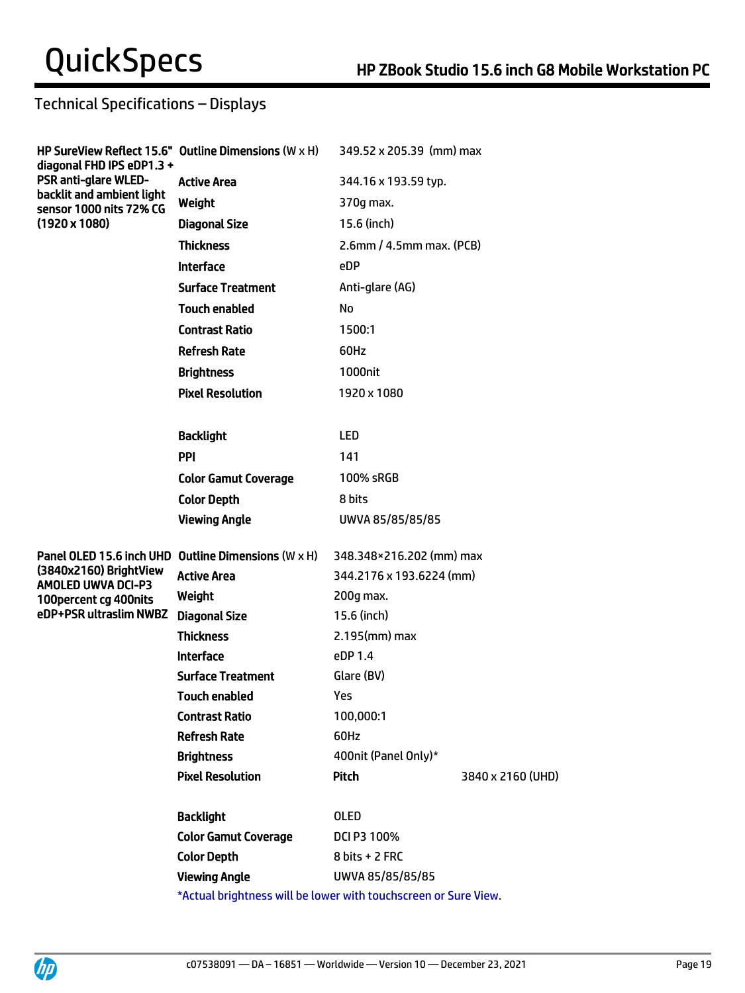# Technical Specifications – Displays

| diagonal FHD IPS eDP1.3 +                                                           | HP SureView Reflect 15.6" Outline Dimensions (W x H)            | 349.52 x 205.39 (mm) max         |                   |
|-------------------------------------------------------------------------------------|-----------------------------------------------------------------|----------------------------------|-------------------|
| <b>PSR anti-glare WLED-</b><br>backlit and ambient light<br>sensor 1000 nits 72% CG | <b>Active Area</b>                                              | 344.16 x 193.59 typ.             |                   |
|                                                                                     | Weight                                                          | 370g max.                        |                   |
| $(1920 \times 1080)$                                                                | <b>Diagonal Size</b>                                            | 15.6 (inch)                      |                   |
|                                                                                     | <b>Thickness</b>                                                | $2.6$ mm / 4.5mm max. (PCB)      |                   |
|                                                                                     | <b>Interface</b>                                                | eDP                              |                   |
|                                                                                     | <b>Surface Treatment</b>                                        | Anti-glare (AG)                  |                   |
|                                                                                     | <b>Touch enabled</b>                                            | No                               |                   |
|                                                                                     | <b>Contrast Ratio</b>                                           | 1500:1                           |                   |
|                                                                                     | <b>Refresh Rate</b>                                             | 60Hz                             |                   |
|                                                                                     | <b>Brightness</b>                                               | 1000nit                          |                   |
|                                                                                     | <b>Pixel Resolution</b>                                         | 1920 x 1080                      |                   |
|                                                                                     |                                                                 |                                  |                   |
|                                                                                     | <b>Backlight</b>                                                | <b>LED</b>                       |                   |
|                                                                                     | PPI                                                             | 141                              |                   |
|                                                                                     | <b>Color Gamut Coverage</b>                                     | 100% sRGB                        |                   |
|                                                                                     | <b>Color Depth</b>                                              | 8 bits                           |                   |
|                                                                                     | <b>Viewing Angle</b>                                            | UWVA 85/85/85/85                 |                   |
|                                                                                     | Panel OLED 15.6 inch UHD Outline Dimensions (W x H)             | 348.348×216.202 (mm) max         |                   |
| (3840x2160) BrightView                                                              | <b>Active Area</b>                                              | 344.2176 x 193.6224 (mm)         |                   |
| <b>AMOLED UWVA DCI-P3</b><br>100 percent cg 400 nits                                | Weight                                                          | 200g max.                        |                   |
| eDP+PSR ultraslim NWBZ                                                              | <b>Diagonal Size</b>                                            | 15.6 (inch)                      |                   |
|                                                                                     | <b>Thickness</b>                                                | $2.195$ (mm) max                 |                   |
|                                                                                     | <b>Interface</b>                                                | eDP 1.4                          |                   |
|                                                                                     | <b>Surface Treatment</b>                                        | Glare (BV)                       |                   |
|                                                                                     | <b>Touch enabled</b>                                            | Yes                              |                   |
|                                                                                     | <b>Contrast Ratio</b>                                           | 100,000:1                        |                   |
|                                                                                     | <b>Refresh Rate</b>                                             | 60Hz                             |                   |
|                                                                                     | <b>Brightness</b>                                               | 400nit (Panel Only)*             |                   |
|                                                                                     | <b>Pixel Resolution</b>                                         | Pitch                            | 3840 x 2160 (UHD) |
|                                                                                     | <b>Backlight</b>                                                | <b>OLED</b>                      |                   |
|                                                                                     | <b>Color Gamut Coverage</b>                                     | DCI P3 100%                      |                   |
|                                                                                     | <b>Color Depth</b>                                              | $8 \text{ bits} + 2 \text{ FRC}$ |                   |
|                                                                                     | <b>Viewing Angle</b>                                            | UWVA 85/85/85/85                 |                   |
|                                                                                     | *Actual brightness will be lower with touchscreen or Sure View. |                                  |                   |



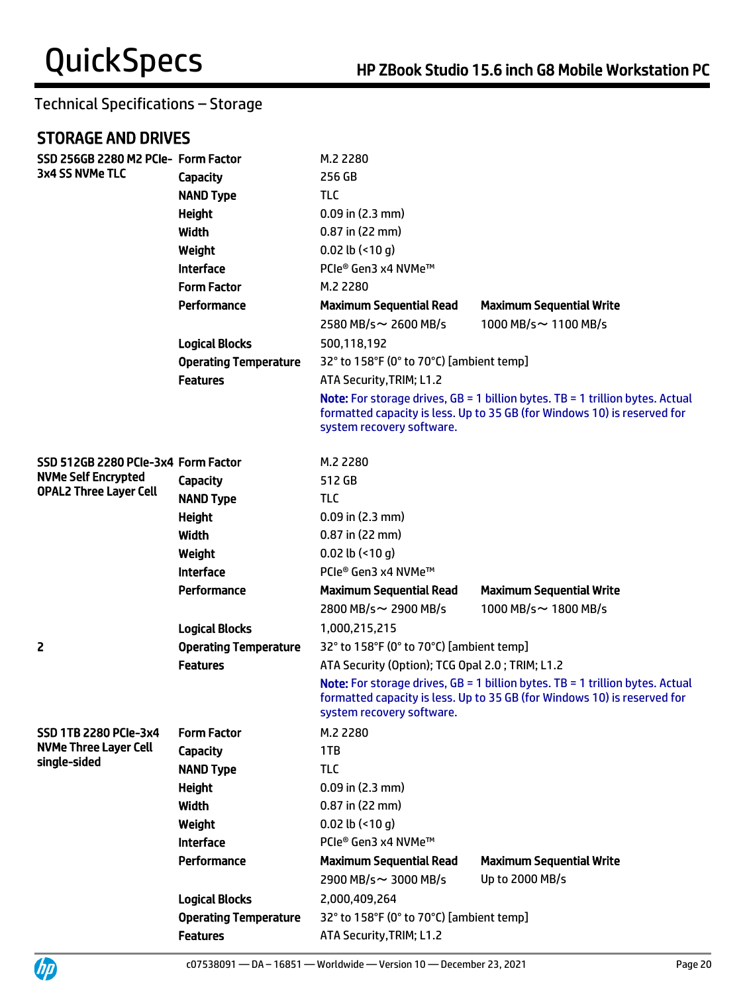# STORAGE AND DRIVES

UP

| SSD 256GB 2280 M2 PCIe- Form Factor |                              | M.2 2280                                                                                                                                                                                        |                                                                                                                                                           |  |
|-------------------------------------|------------------------------|-------------------------------------------------------------------------------------------------------------------------------------------------------------------------------------------------|-----------------------------------------------------------------------------------------------------------------------------------------------------------|--|
| 3x4 SS NVMe TLC                     | <b>Capacity</b>              | 256 GB                                                                                                                                                                                          |                                                                                                                                                           |  |
|                                     | <b>NAND Type</b>             | <b>TLC</b>                                                                                                                                                                                      |                                                                                                                                                           |  |
|                                     | <b>Height</b>                | $0.09$ in $(2.3$ mm)                                                                                                                                                                            |                                                                                                                                                           |  |
|                                     | <b>Width</b>                 | 0.87 in (22 mm)                                                                                                                                                                                 |                                                                                                                                                           |  |
|                                     | Weight                       | 0.02 lb $($ <10 g)                                                                                                                                                                              |                                                                                                                                                           |  |
|                                     | <b>Interface</b>             | PCIe® Gen3 x4 NVMe™                                                                                                                                                                             |                                                                                                                                                           |  |
|                                     | <b>Form Factor</b>           | M.2 2280                                                                                                                                                                                        |                                                                                                                                                           |  |
|                                     | Performance                  | <b>Maximum Sequential Read</b>                                                                                                                                                                  | <b>Maximum Sequential Write</b>                                                                                                                           |  |
|                                     |                              | 2580 MB/s~ 2600 MB/s                                                                                                                                                                            | 1000 MB/s ~ 1100 MB/s                                                                                                                                     |  |
|                                     | <b>Logical Blocks</b>        | 500,118,192                                                                                                                                                                                     |                                                                                                                                                           |  |
|                                     | <b>Operating Temperature</b> | 32° to 158°F (0° to 70°C) [ambient temp]                                                                                                                                                        |                                                                                                                                                           |  |
|                                     | <b>Features</b>              | ATA Security, TRIM; L1.2                                                                                                                                                                        |                                                                                                                                                           |  |
|                                     |                              | <b>Note:</b> For storage drives, $GB = 1$ billion bytes. TB = 1 trillion bytes. Actual<br>formatted capacity is less. Up to 35 GB (for Windows 10) is reserved for<br>system recovery software. |                                                                                                                                                           |  |
| SSD 512GB 2280 PCIe-3x4 Form Factor |                              | M.2 2280                                                                                                                                                                                        |                                                                                                                                                           |  |
| <b>NVMe Self Encrypted</b>          | <b>Capacity</b>              | 512 GB                                                                                                                                                                                          |                                                                                                                                                           |  |
| <b>OPAL2 Three Layer Cell</b>       | <b>NAND Type</b>             | <b>TLC</b>                                                                                                                                                                                      |                                                                                                                                                           |  |
|                                     | <b>Height</b>                | $0.09$ in (2.3 mm)                                                                                                                                                                              |                                                                                                                                                           |  |
|                                     | Width                        | 0.87 in (22 mm)                                                                                                                                                                                 |                                                                                                                                                           |  |
|                                     | Weight                       | 0.02 lb $($ <10 g)                                                                                                                                                                              |                                                                                                                                                           |  |
|                                     | <b>Interface</b>             | PCIe® Gen3 x4 NVMe™                                                                                                                                                                             |                                                                                                                                                           |  |
|                                     | Performance                  | <b>Maximum Sequential Read</b>                                                                                                                                                                  | <b>Maximum Sequential Write</b>                                                                                                                           |  |
|                                     |                              | 2800 MB/s~ 2900 MB/s                                                                                                                                                                            | 1000 MB/s $\sim$ 1800 MB/s                                                                                                                                |  |
|                                     | <b>Logical Blocks</b>        | 1,000,215,215                                                                                                                                                                                   |                                                                                                                                                           |  |
| 2                                   | <b>Operating Temperature</b> | 32° to 158°F (0° to 70°C) [ambient temp]                                                                                                                                                        |                                                                                                                                                           |  |
|                                     | <b>Features</b>              | ATA Security (Option); TCG Opal 2.0; TRIM; L1.2                                                                                                                                                 |                                                                                                                                                           |  |
|                                     |                              | system recovery software.                                                                                                                                                                       | Note: For storage drives, GB = 1 billion bytes. TB = 1 trillion bytes. Actual<br>formatted capacity is less. Up to 35 GB (for Windows 10) is reserved for |  |
| <b>SSD 1TB 2280 PCIe-3x4</b>        | <b>Form Factor</b>           | M.2 2280                                                                                                                                                                                        |                                                                                                                                                           |  |
| <b>NVMe Three Layer Cell</b>        | <b>Capacity</b>              | 1TB                                                                                                                                                                                             |                                                                                                                                                           |  |
| single-sided                        | <b>NAND Type</b>             | <b>TLC</b>                                                                                                                                                                                      |                                                                                                                                                           |  |
|                                     | <b>Height</b>                | $0.09$ in (2.3 mm)                                                                                                                                                                              |                                                                                                                                                           |  |
|                                     | <b>Width</b>                 | 0.87 in (22 mm)                                                                                                                                                                                 |                                                                                                                                                           |  |
|                                     | Weight                       | $0.02$ lb (<10 q)                                                                                                                                                                               |                                                                                                                                                           |  |
|                                     | <b>Interface</b>             | PCIe® Gen3 x4 NVMe™                                                                                                                                                                             |                                                                                                                                                           |  |
|                                     | Performance                  | <b>Maximum Sequential Read</b>                                                                                                                                                                  | <b>Maximum Sequential Write</b>                                                                                                                           |  |
|                                     |                              | 2900 MB/s~ 3000 MB/s                                                                                                                                                                            | Up to 2000 MB/s                                                                                                                                           |  |
|                                     | <b>Logical Blocks</b>        | 2,000,409,264                                                                                                                                                                                   |                                                                                                                                                           |  |
|                                     | <b>Operating Temperature</b> | 32° to 158°F (0° to 70°C) [ambient temp]                                                                                                                                                        |                                                                                                                                                           |  |
|                                     | <b>Features</b>              | ATA Security, TRIM; L1.2                                                                                                                                                                        |                                                                                                                                                           |  |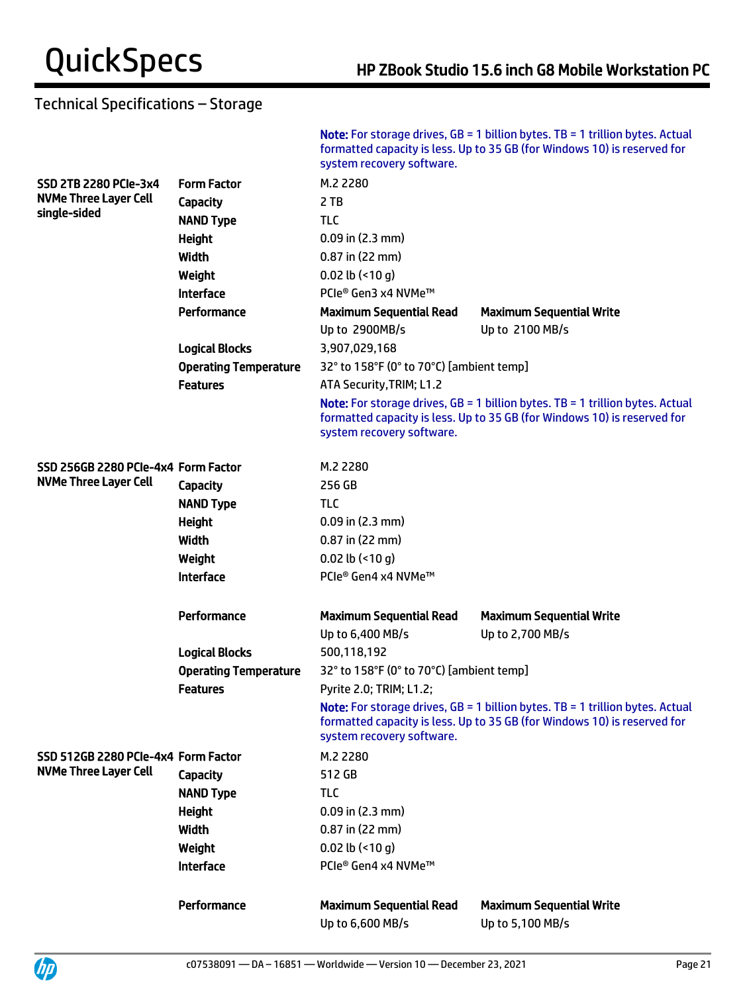|                                     |                              | system recovery software.                | <b>Note:</b> For storage drives, $GB = 1$ billion bytes. TB = 1 trillion bytes. Actual<br>formatted capacity is less. Up to 35 GB (for Windows 10) is reserved for |  |
|-------------------------------------|------------------------------|------------------------------------------|--------------------------------------------------------------------------------------------------------------------------------------------------------------------|--|
| <b>SSD 2TB 2280 PCIe-3x4</b>        | <b>Form Factor</b>           | M.2 2280                                 |                                                                                                                                                                    |  |
| <b>NVMe Three Layer Cell</b>        | <b>Capacity</b>              | 2 TB                                     |                                                                                                                                                                    |  |
| single-sided                        | <b>NAND Type</b>             | <b>TLC</b>                               |                                                                                                                                                                    |  |
|                                     | <b>Height</b>                | $0.09$ in (2.3 mm)                       |                                                                                                                                                                    |  |
|                                     | Width                        | 0.87 in (22 mm)                          |                                                                                                                                                                    |  |
|                                     | Weight                       | $0.02$ lb (<10 g)                        |                                                                                                                                                                    |  |
|                                     | <b>Interface</b>             | PCIe® Gen3 x4 NVMe™                      |                                                                                                                                                                    |  |
|                                     | Performance                  | <b>Maximum Sequential Read</b>           | <b>Maximum Sequential Write</b>                                                                                                                                    |  |
|                                     |                              | Up to 2900MB/s                           | Up to 2100 MB/s                                                                                                                                                    |  |
|                                     | <b>Logical Blocks</b>        | 3,907,029,168                            |                                                                                                                                                                    |  |
|                                     | <b>Operating Temperature</b> | 32° to 158°F (0° to 70°C) [ambient temp] |                                                                                                                                                                    |  |
|                                     | <b>Features</b>              | ATA Security, TRIM; L1.2                 |                                                                                                                                                                    |  |
|                                     |                              | system recovery software.                | <b>Note:</b> For storage drives, $GB = 1$ billion bytes. TB = 1 trillion bytes. Actual<br>formatted capacity is less. Up to 35 GB (for Windows 10) is reserved for |  |
| SSD 256GB 2280 PCIe-4x4 Form Factor |                              | M.2 2280                                 |                                                                                                                                                                    |  |
| <b>NVMe Three Layer Cell</b>        | <b>Capacity</b>              | 256 GB                                   |                                                                                                                                                                    |  |
|                                     | <b>NAND Type</b>             | <b>TLC</b>                               |                                                                                                                                                                    |  |
|                                     | <b>Height</b>                | $0.09$ in (2.3 mm)                       |                                                                                                                                                                    |  |
|                                     | Width                        | $0.87$ in (22 mm)                        |                                                                                                                                                                    |  |
|                                     | Weight                       | $0.02$ lb (<10 g)                        |                                                                                                                                                                    |  |
|                                     | <b>Interface</b>             | PCIe® Gen4 x4 NVMe™                      |                                                                                                                                                                    |  |
|                                     |                              |                                          |                                                                                                                                                                    |  |
|                                     | Performance                  | <b>Maximum Sequential Read</b>           | <b>Maximum Sequential Write</b>                                                                                                                                    |  |
|                                     |                              | Up to 6,400 MB/s                         | Up to 2,700 MB/s                                                                                                                                                   |  |
|                                     | <b>Logical Blocks</b>        | 500,118,192                              |                                                                                                                                                                    |  |
|                                     | <b>Operating Temperature</b> | 32° to 158°F (0° to 70°C) [ambient temp] |                                                                                                                                                                    |  |
|                                     | Features                     | Pyrite 2.0; TRIM; L1.2;                  |                                                                                                                                                                    |  |
|                                     |                              | system recovery software.                | Note: For storage drives, GB = 1 billion bytes. TB = 1 trillion bytes. Actual<br>formatted capacity is less. Up to 35 GB (for Windows 10) is reserved for          |  |
| SSD 512GB 2280 PCIe-4x4 Form Factor |                              | M.2 2280                                 |                                                                                                                                                                    |  |
| <b>NVMe Three Layer Cell</b>        | Capacity                     | 512 GB                                   |                                                                                                                                                                    |  |
|                                     | <b>NAND Type</b>             | <b>TLC</b>                               |                                                                                                                                                                    |  |
|                                     | <b>Height</b>                | $0.09$ in (2.3 mm)                       |                                                                                                                                                                    |  |
|                                     | <b>Width</b>                 | 0.87 in (22 mm)                          |                                                                                                                                                                    |  |
|                                     | Weight                       | $0.02$ lb (<10 q)                        |                                                                                                                                                                    |  |
|                                     | <b>Interface</b>             | PCIe® Gen4 x4 NVMe™                      |                                                                                                                                                                    |  |
|                                     | Performance                  | <b>Maximum Sequential Read</b>           | <b>Maximum Sequential Write</b>                                                                                                                                    |  |
|                                     |                              | Up to 6,600 MB/s                         | Up to 5,100 MB/s                                                                                                                                                   |  |
|                                     |                              |                                          |                                                                                                                                                                    |  |



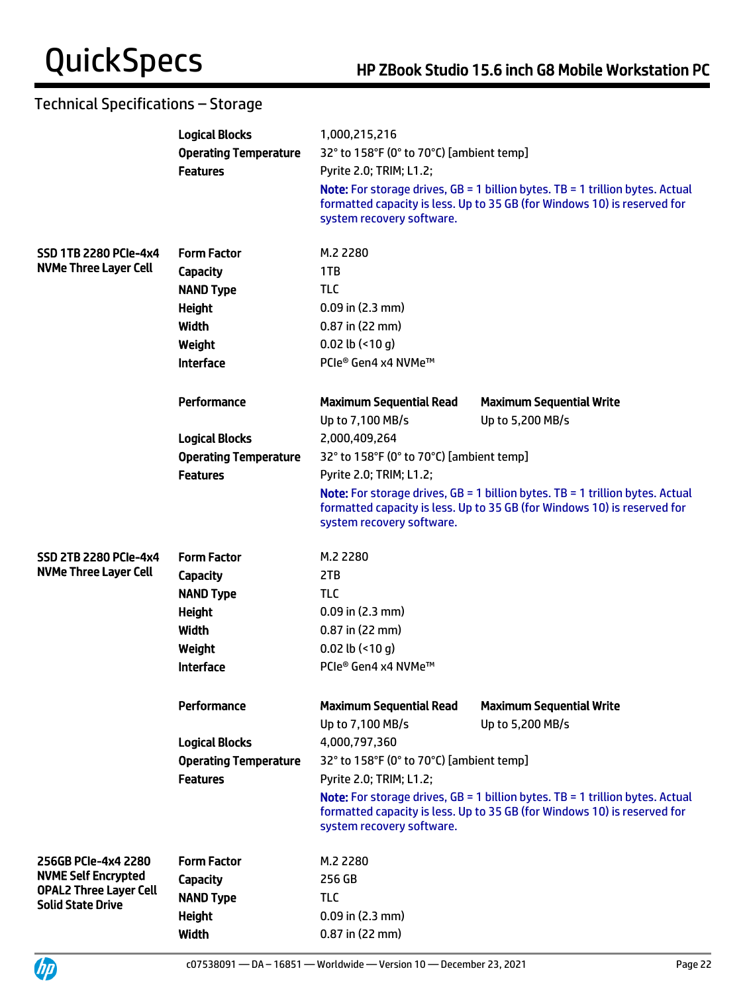|                                                           | <b>Logical Blocks</b>                           | 1,000,215,216                                                       |                                                                                                                                                                    |  |
|-----------------------------------------------------------|-------------------------------------------------|---------------------------------------------------------------------|--------------------------------------------------------------------------------------------------------------------------------------------------------------------|--|
|                                                           | <b>Operating Temperature</b>                    | 32° to 158°F (0° to 70°C) [ambient temp]<br>Pyrite 2.0; TRIM; L1.2; |                                                                                                                                                                    |  |
|                                                           | <b>Features</b>                                 |                                                                     |                                                                                                                                                                    |  |
|                                                           |                                                 | system recovery software.                                           | <b>Note:</b> For storage drives, $GB = 1$ billion bytes. TB = 1 trillion bytes. Actual<br>formatted capacity is less. Up to 35 GB (for Windows 10) is reserved for |  |
| <b>SSD 1TB 2280 PCIe-4x4</b>                              | <b>Form Factor</b>                              | M.2 2280                                                            |                                                                                                                                                                    |  |
| <b>NVMe Three Layer Cell</b>                              | Capacity                                        | 1TB                                                                 |                                                                                                                                                                    |  |
|                                                           | <b>NAND Type</b>                                | <b>TLC</b>                                                          |                                                                                                                                                                    |  |
|                                                           | <b>Height</b>                                   | $0.09$ in $(2.3$ mm)                                                |                                                                                                                                                                    |  |
|                                                           | <b>Width</b>                                    | $0.87$ in (22 mm)                                                   |                                                                                                                                                                    |  |
|                                                           | Weight                                          | $0.02$ lb (<10 g)                                                   |                                                                                                                                                                    |  |
|                                                           | <b>Interface</b>                                | PCIe® Gen4 x4 NVMe™                                                 |                                                                                                                                                                    |  |
|                                                           | Performance                                     | <b>Maximum Sequential Read</b>                                      | <b>Maximum Sequential Write</b>                                                                                                                                    |  |
|                                                           |                                                 | Up to 7,100 MB/s                                                    | Up to 5,200 MB/s                                                                                                                                                   |  |
|                                                           | <b>Logical Blocks</b>                           | 2,000,409,264                                                       |                                                                                                                                                                    |  |
|                                                           | <b>Operating Temperature</b><br><b>Features</b> | 32° to 158°F (0° to 70°C) [ambient temp]                            |                                                                                                                                                                    |  |
|                                                           |                                                 | Pyrite 2.0; TRIM; L1.2;                                             |                                                                                                                                                                    |  |
|                                                           |                                                 | system recovery software.                                           | <b>Note:</b> For storage drives, $GB = 1$ billion bytes. TB = 1 trillion bytes. Actual<br>formatted capacity is less. Up to 35 GB (for Windows 10) is reserved for |  |
| <b>SSD 2TB 2280 PCIe-4x4</b>                              | <b>Form Factor</b>                              | M.2 2280                                                            |                                                                                                                                                                    |  |
| <b>NVMe Three Layer Cell</b>                              | <b>Capacity</b>                                 | 2TB                                                                 |                                                                                                                                                                    |  |
|                                                           | <b>NAND Type</b>                                | TLC                                                                 |                                                                                                                                                                    |  |
|                                                           | <b>Height</b>                                   | $0.09$ in $(2.3$ mm)                                                |                                                                                                                                                                    |  |
|                                                           | <b>Width</b>                                    | $0.87$ in (22 mm)                                                   |                                                                                                                                                                    |  |
|                                                           | Weight                                          | $0.02$ lb (<10 g)                                                   |                                                                                                                                                                    |  |
|                                                           | <b>Interface</b>                                | PCIe® Gen4 x4 NVMe™                                                 |                                                                                                                                                                    |  |
|                                                           | Performance                                     | <b>Maximum Sequential Read</b><br>Up to 7,100 MB/s                  | <b>Maximum Sequential Write</b><br>Up to 5,200 MB/s                                                                                                                |  |
|                                                           | <b>Logical Blocks</b>                           | 4,000,797,360                                                       |                                                                                                                                                                    |  |
|                                                           | <b>Operating Temperature</b>                    | 32° to 158°F (0° to 70°C) [ambient temp]                            |                                                                                                                                                                    |  |
|                                                           | <b>Features</b>                                 | Pyrite 2.0; TRIM; L1.2;                                             |                                                                                                                                                                    |  |
|                                                           |                                                 | system recovery software.                                           | <b>Note:</b> For storage drives, $GB = 1$ billion bytes. TB = 1 trillion bytes. Actual<br>formatted capacity is less. Up to 35 GB (for Windows 10) is reserved for |  |
| 256GB PCIe-4x4 2280                                       | <b>Form Factor</b>                              | M.2 2280                                                            |                                                                                                                                                                    |  |
| <b>NVME Self Encrypted</b>                                | <b>Capacity</b>                                 | 256 GB                                                              |                                                                                                                                                                    |  |
| <b>OPAL2 Three Layer Cell</b><br><b>Solid State Drive</b> | <b>NAND Type</b>                                | TLC                                                                 |                                                                                                                                                                    |  |
|                                                           | <b>Height</b>                                   | $0.09$ in $(2.3$ mm)                                                |                                                                                                                                                                    |  |
|                                                           | <b>Width</b>                                    | 0.87 in (22 mm)                                                     |                                                                                                                                                                    |  |



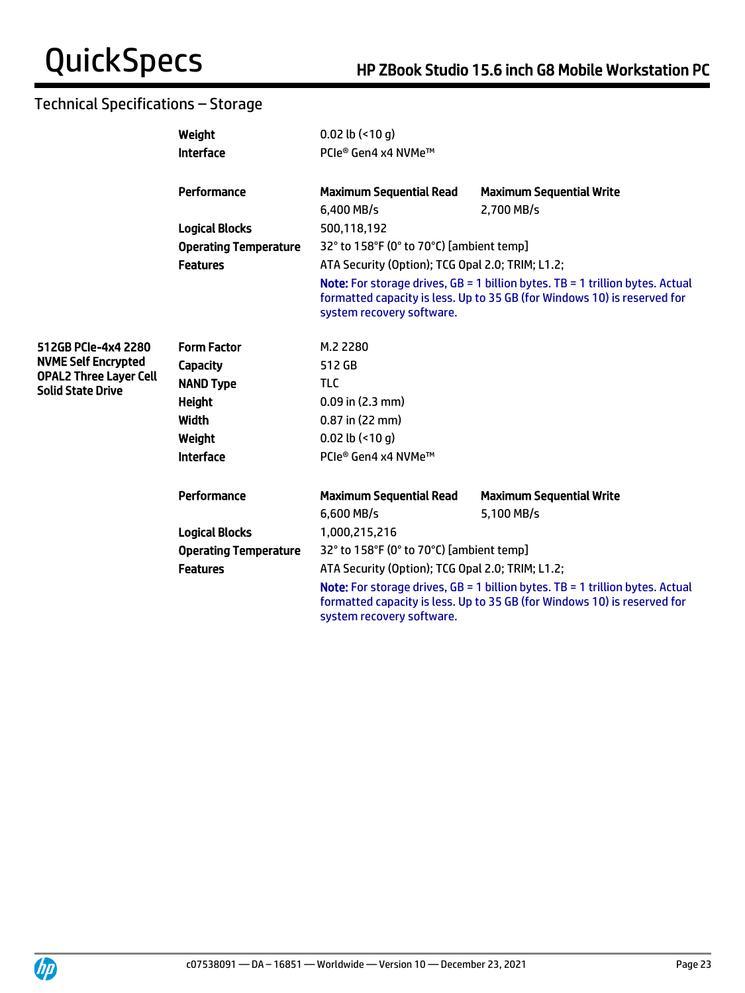|                                                           | Weight                       | $0.02$ lb $($ < 10 g)                                                                                                                                                                                                                               |                                                                                                                                                                      |  |
|-----------------------------------------------------------|------------------------------|-----------------------------------------------------------------------------------------------------------------------------------------------------------------------------------------------------------------------------------------------------|----------------------------------------------------------------------------------------------------------------------------------------------------------------------|--|
|                                                           | <b>Interface</b>             | PCIe® Gen4 x4 NVMe™                                                                                                                                                                                                                                 |                                                                                                                                                                      |  |
|                                                           | Performance                  | <b>Maximum Sequential Read</b><br>$6.400$ MB/s                                                                                                                                                                                                      | <b>Maximum Sequential Write</b><br>2.700 MB/s                                                                                                                        |  |
| <b>Logical Blocks</b>                                     | 500,118,192                  |                                                                                                                                                                                                                                                     |                                                                                                                                                                      |  |
|                                                           | <b>Operating Temperature</b> | 32° to 158°F (0° to 70°C) [ambient temp]                                                                                                                                                                                                            |                                                                                                                                                                      |  |
|                                                           | <b>Features</b>              | ATA Security (Option); TCG Opal 2.0; TRIM; L1.2;                                                                                                                                                                                                    |                                                                                                                                                                      |  |
|                                                           |                              | system recovery software.                                                                                                                                                                                                                           | <b>Note:</b> For storage drives, $GB = 1$ billion bytes. $TB = 1$ trillion bytes. Actual<br>formatted capacity is less. Up to 35 GB (for Windows 10) is reserved for |  |
| 512GB PCIe-4x4 2280                                       | <b>Form Factor</b>           | M.2 2280                                                                                                                                                                                                                                            |                                                                                                                                                                      |  |
| <b>NVME Self Encrypted</b>                                | Capacity                     | 512 GB                                                                                                                                                                                                                                              |                                                                                                                                                                      |  |
| <b>OPAL2 Three Layer Cell</b><br><b>Solid State Drive</b> | <b>NAND Type</b>             | <b>TLC</b>                                                                                                                                                                                                                                          |                                                                                                                                                                      |  |
|                                                           | <b>Height</b>                | $0.09$ in (2.3 mm)                                                                                                                                                                                                                                  |                                                                                                                                                                      |  |
|                                                           | <b>Width</b>                 | 0.87 in (22 mm)                                                                                                                                                                                                                                     |                                                                                                                                                                      |  |
|                                                           | Weight                       | $0.02$ lb (<10 q)                                                                                                                                                                                                                                   |                                                                                                                                                                      |  |
|                                                           | <b>Interface</b>             | PCle® Gen4 x4 NVMe™                                                                                                                                                                                                                                 |                                                                                                                                                                      |  |
|                                                           | Performance                  | <b>Maximum Sequential Read</b>                                                                                                                                                                                                                      | <b>Maximum Sequential Write</b>                                                                                                                                      |  |
|                                                           |                              | 6,600 MB/s                                                                                                                                                                                                                                          | 5,100 MB/s                                                                                                                                                           |  |
|                                                           | <b>Logical Blocks</b>        | 1,000,215,216                                                                                                                                                                                                                                       |                                                                                                                                                                      |  |
|                                                           | <b>Operating Temperature</b> | 32° to 158°F (0° to 70°C) [ambient temp]                                                                                                                                                                                                            |                                                                                                                                                                      |  |
|                                                           | <b>Features</b>              | ATA Security (Option); TCG Opal 2.0; TRIM; L1.2;<br><b>Note:</b> For storage drives, $GB = 1$ billion bytes. TB = 1 trillion bytes. Actual<br>formatted capacity is less. Up to 35 GB (for Windows 10) is reserved for<br>system recovery software. |                                                                                                                                                                      |  |

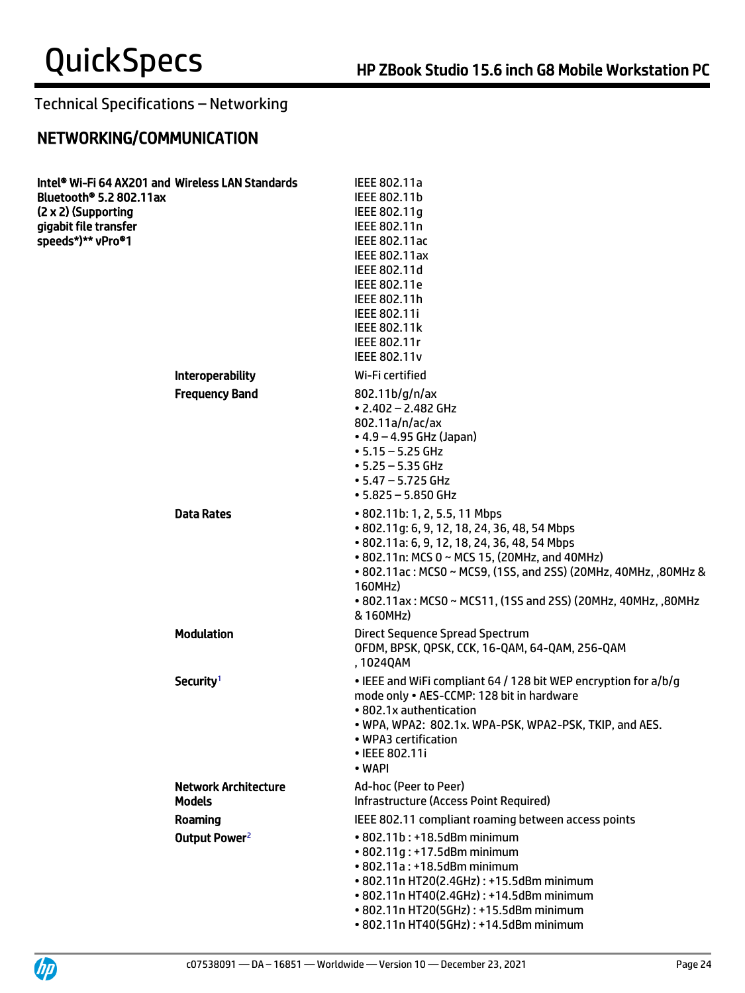# NETWORKING/COMMUNICATION

| Bluetooth® 5.2 802.11ax<br>(2 x 2) (Supporting<br>gigabit file transfer<br>speeds*)** vPro®1 | Intel® Wi-Fi 64 AX201 and Wireless LAN Standards | IEEE 802.11a<br>IEEE 802.11b<br>IEEE 802.11g<br>IEEE 802.11n<br><b>IEEE 802.11ac</b><br><b>IEEE 802.11ax</b><br>IEEE 802.11d<br>IEEE 802.11e<br>IEEE 802.11h<br>IEEE 802.11i<br><b>IEEE 802.11k</b><br>IEEE 802.11r<br><b>IEEE 802.11v</b>                                                                                                 |
|----------------------------------------------------------------------------------------------|--------------------------------------------------|--------------------------------------------------------------------------------------------------------------------------------------------------------------------------------------------------------------------------------------------------------------------------------------------------------------------------------------------|
|                                                                                              | Interoperability                                 | Wi-Fi certified                                                                                                                                                                                                                                                                                                                            |
|                                                                                              | <b>Frequency Band</b>                            | 802.11b/g/n/ax<br>$\cdot$ 2.402 - 2.482 GHz<br>802.11a/n/ac/ax<br>$\bullet$ 4.9 – 4.95 GHz (Japan)<br>$• 5.15 - 5.25$ GHz<br>$• 5.25 - 5.35$ GHz<br>$\cdot$ 5.47 – 5.725 GHz<br>$• 5.825 - 5.850$ GHz                                                                                                                                      |
|                                                                                              | <b>Data Rates</b>                                | • 802.11b: 1, 2, 5.5, 11 Mbps<br>• 802.11g: 6, 9, 12, 18, 24, 36, 48, 54 Mbps<br>• 802.11a: 6, 9, 12, 18, 24, 36, 48, 54 Mbps<br>• 802.11n: MCS 0 ~ MCS 15, (20MHz, and 40MHz)<br>• 802.11ac: MCS0 ~ MCS9, (1SS, and 2SS) (20MHz, 40MHz, ,80MHz &<br>160MHz)<br>• 802.11ax: MCS0 ~ MCS11, (1SS and 2SS) (20MHz, 40MHz, ,80MHz<br>& 160MHz) |
|                                                                                              | <b>Modulation</b>                                | Direct Sequence Spread Spectrum<br>OFDM, BPSK, QPSK, CCK, 16-QAM, 64-QAM, 256-QAM<br>, 1024QAM                                                                                                                                                                                                                                             |
|                                                                                              | Security <sup>1</sup>                            | • IEEE and WiFi compliant 64 / 128 bit WEP encryption for a/b/g<br>mode only . AES-CCMP: 128 bit in hardware<br>• 802.1x authentication<br>. WPA, WPA2: 802.1x. WPA-PSK, WPA2-PSK, TKIP, and AES.<br>• WPA3 certification<br>• IEEE 802.11i<br>• WAPI                                                                                      |
|                                                                                              | <b>Network Architecture</b><br><b>Models</b>     | Ad-hoc (Peer to Peer)<br>Infrastructure (Access Point Required)                                                                                                                                                                                                                                                                            |
|                                                                                              | Roaming                                          | IEEE 802.11 compliant roaming between access points                                                                                                                                                                                                                                                                                        |
|                                                                                              | Output Power <sup>2</sup>                        | • 802.11b: +18.5dBm minimum<br>• 802.11g: +17.5dBm minimum<br>• 802.11a: +18.5dBm minimum<br>• 802.11n HT20(2.4GHz): +15.5dBm minimum<br>• 802.11n HT40(2.4GHz): +14.5dBm minimum<br>• 802.11n HT20(5GHz): +15.5dBm minimum<br>• 802.11n HT40(5GHz): +14.5dBm minimum                                                                      |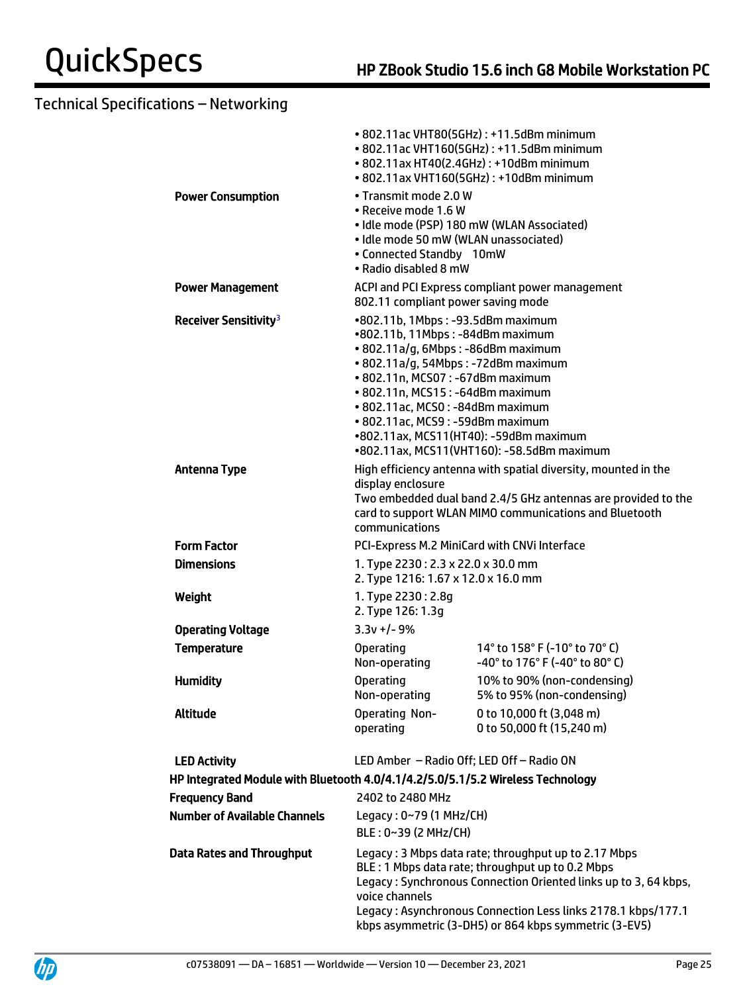|                                                                                 |                                                                                                                                                                                                                                                                                                                                              | • 802.11ac VHT80(5GHz): +11.5dBm minimum<br>• 802.11ac VHT160(5GHz): +11.5dBm minimum<br>• 802.11ax HT40(2.4GHz): +10dBm minimum<br>• 802.11ax VHT160(5GHz): +10dBm minimum                                                                                                                          |
|---------------------------------------------------------------------------------|----------------------------------------------------------------------------------------------------------------------------------------------------------------------------------------------------------------------------------------------------------------------------------------------------------------------------------------------|------------------------------------------------------------------------------------------------------------------------------------------------------------------------------------------------------------------------------------------------------------------------------------------------------|
| <b>Power Consumption</b>                                                        | • Transmit mode 2.0 W<br>• Receive mode 1.6 W<br>• Idle mode 50 mW (WLAN unassociated)<br>• Connected Standby 10mW<br>• Radio disabled 8 mW                                                                                                                                                                                                  | • Idle mode (PSP) 180 mW (WLAN Associated)                                                                                                                                                                                                                                                           |
| <b>Power Management</b>                                                         | 802.11 compliant power saving mode                                                                                                                                                                                                                                                                                                           | ACPI and PCI Express compliant power management                                                                                                                                                                                                                                                      |
| Receiver Sensitivity <sup>3</sup>                                               | •802.11b, 1Mbps: -93.5dBm maximum<br>•802.11b, 11Mbps: -84dBm maximum<br>• 802.11a/g, 6Mbps: -86dBm maximum<br>• 802.11a/g, 54Mbps: -72dBm maximum<br>• 802.11n, MCS07: -67dBm maximum<br>• 802.11n, MCS15: -64dBm maximum<br>• 802.11ac, MCS0: -84dBm maximum<br>· 802.11ac, MCS9: -59dBm maximum<br>•802.11ax, MCS11(HT40): -59dBm maximum | •802.11ax, MCS11(VHT160): -58.5dBm maximum                                                                                                                                                                                                                                                           |
| <b>Antenna Type</b>                                                             | display enclosure<br>communications                                                                                                                                                                                                                                                                                                          | High efficiency antenna with spatial diversity, mounted in the<br>Two embedded dual band 2.4/5 GHz antennas are provided to the<br>card to support WLAN MIMO communications and Bluetooth                                                                                                            |
| <b>Form Factor</b>                                                              | PCI-Express M.2 MiniCard with CNVi Interface                                                                                                                                                                                                                                                                                                 |                                                                                                                                                                                                                                                                                                      |
| <b>Dimensions</b>                                                               | 1. Type 2230: 2.3 x 22.0 x 30.0 mm<br>2. Type 1216: 1.67 x 12.0 x 16.0 mm                                                                                                                                                                                                                                                                    |                                                                                                                                                                                                                                                                                                      |
| Weight                                                                          | 1. Type 2230: 2.8g<br>2. Type 126: 1.3g                                                                                                                                                                                                                                                                                                      |                                                                                                                                                                                                                                                                                                      |
| <b>Operating Voltage</b>                                                        | $3.3v + (-9)$                                                                                                                                                                                                                                                                                                                                |                                                                                                                                                                                                                                                                                                      |
| <b>Temperature</b>                                                              | <b>Operating</b><br>Non-operating                                                                                                                                                                                                                                                                                                            | 14° to 158° F (-10° to 70° C)<br>-40° to 176° F (-40° to 80° C)                                                                                                                                                                                                                                      |
| <b>Humidity</b>                                                                 | <b>Operating</b><br>Non-operating                                                                                                                                                                                                                                                                                                            | 10% to 90% (non-condensing)<br>5% to 95% (non-condensing)                                                                                                                                                                                                                                            |
| Altitude                                                                        | <b>Operating Non-</b><br>operating                                                                                                                                                                                                                                                                                                           | 0 to 10,000 ft (3,048 m)<br>0 to 50,000 ft (15,240 m)                                                                                                                                                                                                                                                |
| <b>LED Activity</b>                                                             | LED Amber - Radio Off; LED Off - Radio ON                                                                                                                                                                                                                                                                                                    |                                                                                                                                                                                                                                                                                                      |
| HP Integrated Module with Bluetooth 4.0/4.1/4.2/5.0/5.1/5.2 Wireless Technology |                                                                                                                                                                                                                                                                                                                                              |                                                                                                                                                                                                                                                                                                      |
| <b>Frequency Band</b>                                                           | 2402 to 2480 MHz                                                                                                                                                                                                                                                                                                                             |                                                                                                                                                                                                                                                                                                      |
| <b>Number of Available Channels</b>                                             | Legacy: $0~79$ (1 MHz/CH)<br>BLE: 0~39 (2 MHz/CH)                                                                                                                                                                                                                                                                                            |                                                                                                                                                                                                                                                                                                      |
| <b>Data Rates and Throughput</b>                                                | voice channels                                                                                                                                                                                                                                                                                                                               | Legacy: 3 Mbps data rate; throughput up to 2.17 Mbps<br>BLE: 1 Mbps data rate; throughput up to 0.2 Mbps<br>Legacy: Synchronous Connection Oriented links up to 3, 64 kbps,<br>Legacy: Asynchronous Connection Less links 2178.1 kbps/177.1<br>kbps asymmetric (3-DH5) or 864 kbps symmetric (3-EV5) |



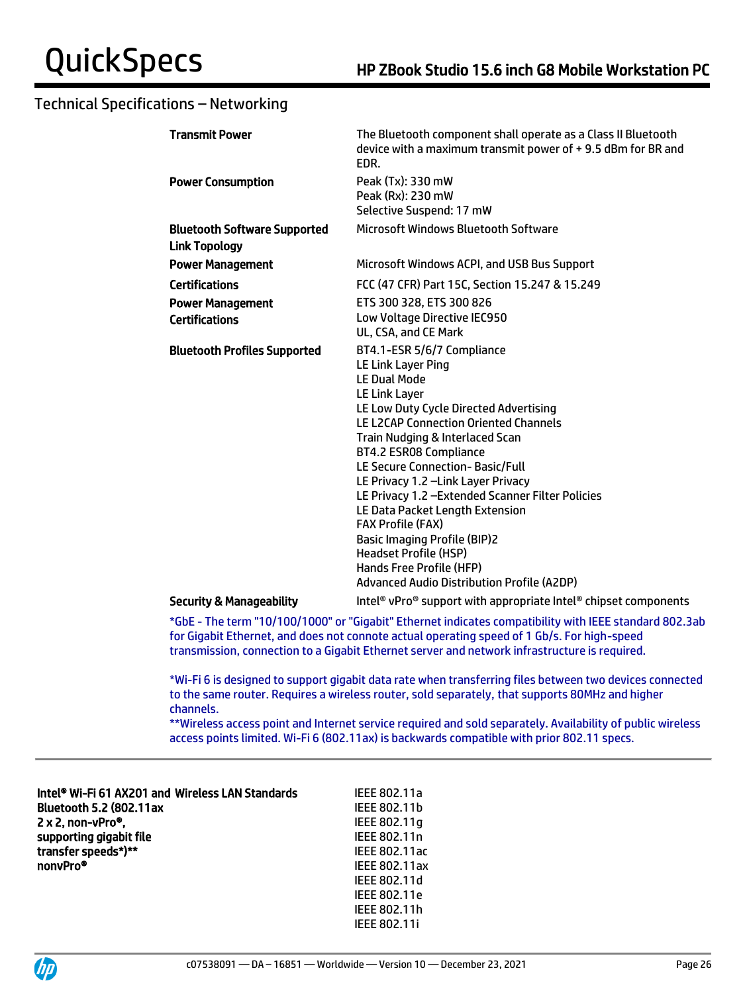| <b>Transmit Power</b>                                       | The Bluetooth component shall operate as a Class II Bluetooth<br>device with a maximum transmit power of +9.5 dBm for BR and<br>EDR.                                                                                                                                                                                                                                                                                                                                                                                                                                                    |
|-------------------------------------------------------------|-----------------------------------------------------------------------------------------------------------------------------------------------------------------------------------------------------------------------------------------------------------------------------------------------------------------------------------------------------------------------------------------------------------------------------------------------------------------------------------------------------------------------------------------------------------------------------------------|
| <b>Power Consumption</b>                                    | Peak (Tx): 330 mW<br>Peak (Rx): 230 mW<br>Selective Suspend: 17 mW                                                                                                                                                                                                                                                                                                                                                                                                                                                                                                                      |
| <b>Bluetooth Software Supported</b><br><b>Link Topology</b> | Microsoft Windows Bluetooth Software                                                                                                                                                                                                                                                                                                                                                                                                                                                                                                                                                    |
| <b>Power Management</b>                                     | Microsoft Windows ACPI, and USB Bus Support                                                                                                                                                                                                                                                                                                                                                                                                                                                                                                                                             |
| <b>Certifications</b>                                       | FCC (47 CFR) Part 15C, Section 15.247 & 15.249                                                                                                                                                                                                                                                                                                                                                                                                                                                                                                                                          |
| <b>Power Management</b><br><b>Certifications</b>            | ETS 300 328, ETS 300 826<br>Low Voltage Directive IEC950<br>UL, CSA, and CE Mark                                                                                                                                                                                                                                                                                                                                                                                                                                                                                                        |
| <b>Bluetooth Profiles Supported</b>                         | BT4.1-ESR 5/6/7 Compliance<br>LE Link Layer Ping<br><b>LE Dual Mode</b><br>LE Link Layer<br>LE Low Duty Cycle Directed Advertising<br>LE L2CAP Connection Oriented Channels<br>Train Nudging & Interlaced Scan<br>BT4.2 ESR08 Compliance<br>LE Secure Connection-Basic/Full<br>LE Privacy 1.2 - Link Layer Privacy<br>LE Privacy 1.2 - Extended Scanner Filter Policies<br>LE Data Packet Length Extension<br><b>FAX Profile (FAX)</b><br><b>Basic Imaging Profile (BIP)2</b><br><b>Headset Profile (HSP)</b><br>Hands Free Profile (HFP)<br>Advanced Audio Distribution Profile (A2DP) |
| <b>Security &amp; Manageability</b>                         | Intel <sup>®</sup> vPro <sup>®</sup> support with appropriate Intel <sup>®</sup> chipset components                                                                                                                                                                                                                                                                                                                                                                                                                                                                                     |

\*GbE - The term "10/100/1000" or "Gigabit" Ethernet indicates compatibility with IEEE standard 802.3ab for Gigabit Ethernet, and does not connote actual operating speed of 1 Gb/s. For high-speed transmission, connection to a Gigabit Ethernet server and network infrastructure is required.

\*Wi-Fi 6 is designed to support gigabit data rate when transferring files between two devices connected to the same router. Requires a wireless router, sold separately, that supports 80MHz and higher channels.

\*\*Wireless access point and Internet service required and sold separately. Availability of public wireless access points limited. Wi-Fi 6 (802.11ax) is backwards compatible with prior 802.11 specs.

| Intel® Wi-Fi 61 AX201 and Wireless LAN Standards | IEEE 802.11a         |
|--------------------------------------------------|----------------------|
| <b>Bluetooth 5.2 (802.11ax</b>                   | IEEE 802.11b         |
| 2 x 2, non-vPro®,                                | IEEE 802.11q         |
| supporting gigabit file                          | IEEE 802.11n         |
| transfer speeds*)**                              | <b>IEEE 802.11ac</b> |
| nonvPro <sup>®</sup>                             | <b>IEEE 802.11ax</b> |
|                                                  | IEEE 802.11d         |
|                                                  | <b>IEEE 802.11e</b>  |
|                                                  | IEEE 802.11h         |
|                                                  | <b>IEEE 802.11i</b>  |

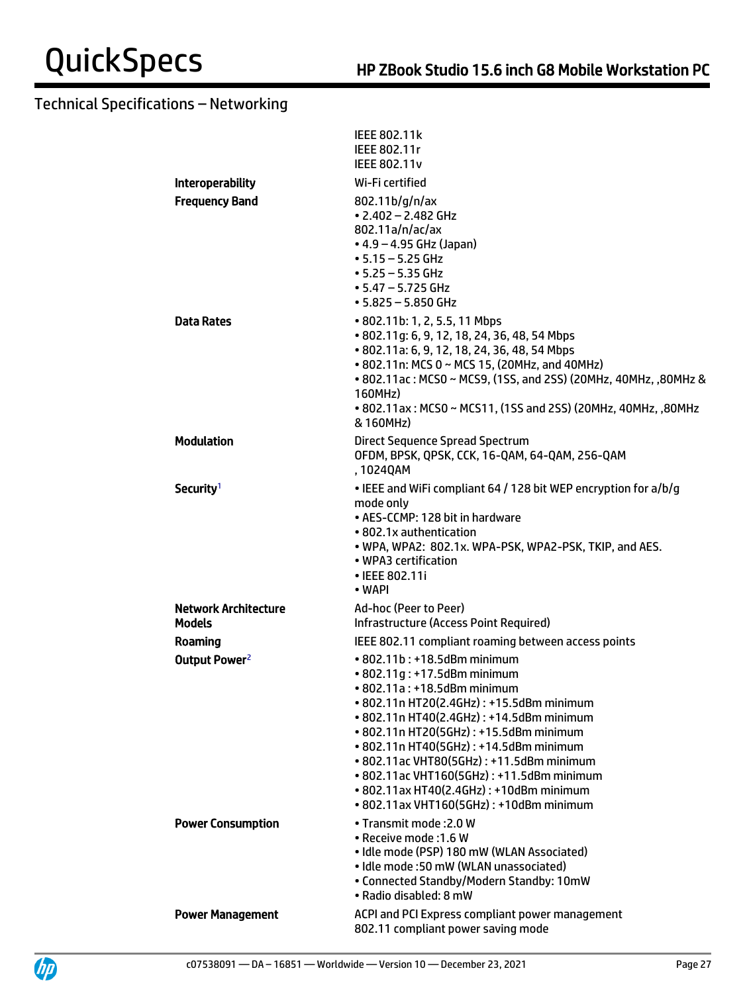|                             | <b>IEEE 802.11k</b><br>IEEE 802.11r<br><b>IEEE 802.11v</b>                                                                                                                                                                                                                                                                                                                                                                                           |
|-----------------------------|------------------------------------------------------------------------------------------------------------------------------------------------------------------------------------------------------------------------------------------------------------------------------------------------------------------------------------------------------------------------------------------------------------------------------------------------------|
| <b>Interoperability</b>     | Wi-Fi certified                                                                                                                                                                                                                                                                                                                                                                                                                                      |
| <b>Frequency Band</b>       | 802.11b/g/n/ax<br>$\cdot$ 2.402 - 2.482 GHz<br>802.11a/n/ac/ax<br>• 4.9 – 4.95 GHz (Japan)<br>$• 5.15 - 5.25$ GHz<br>$• 5.25 - 5.35$ GHz<br>• 5.47 – 5.725 GHz<br>• 5.825 - 5.850 GHz                                                                                                                                                                                                                                                                |
| <b>Data Rates</b>           | • 802.11b: 1, 2, 5.5, 11 Mbps<br>• 802.11g: 6, 9, 12, 18, 24, 36, 48, 54 Mbps<br>• 802.11a: 6, 9, 12, 18, 24, 36, 48, 54 Mbps<br>• 802.11n: MCS 0 ~ MCS 15, (20MHz, and 40MHz)<br>• 802.11ac: MCS0 ~ MCS9, (1SS, and 2SS) (20MHz, 40MHz, ,80MHz &<br>160MHz)<br>• 802.11ax: MCS0 ~ MCS11, (1SS and 2SS) (20MHz, 40MHz, ,80MHz<br>& 160MHz)                                                                                                           |
| <b>Modulation</b>           | Direct Sequence Spread Spectrum<br>OFDM, BPSK, QPSK, CCK, 16-QAM, 64-QAM, 256-QAM<br>, 1024QAM                                                                                                                                                                                                                                                                                                                                                       |
| Security <sup>1</sup>       | • IEEE and WiFi compliant 64 / 128 bit WEP encryption for a/b/g<br>mode only<br>• AES-CCMP: 128 bit in hardware<br>• 802.1x authentication<br>. WPA, WPA2: 802.1x. WPA-PSK, WPA2-PSK, TKIP, and AES.<br>• WPA3 certification<br>• IEEE 802.11i<br>• WAPI                                                                                                                                                                                             |
| <b>Network Architecture</b> | Ad-hoc (Peer to Peer)                                                                                                                                                                                                                                                                                                                                                                                                                                |
| <b>Models</b>               | Infrastructure (Access Point Required)                                                                                                                                                                                                                                                                                                                                                                                                               |
| Roaming                     | IEEE 802.11 compliant roaming between access points                                                                                                                                                                                                                                                                                                                                                                                                  |
| Output Power <sup>2</sup>   | • 802.11b: +18.5dBm minimum<br>• 802.11g: +17.5dBm minimum<br>• 802.11a: +18.5dBm minimum<br>• 802.11n HT20(2.4GHz): +15.5dBm minimum<br>• 802.11n HT40(2.4GHz): +14.5dBm minimum<br>• 802.11n HT20(5GHz): +15.5dBm minimum<br>• 802.11n HT40(5GHz): +14.5dBm minimum<br>• 802.11ac VHT80(5GHz): +11.5dBm minimum<br>• 802.11ac VHT160(5GHz): +11.5dBm minimum<br>• 802.11ax HT40(2.4GHz): +10dBm minimum<br>• 802.11ax VHT160(5GHz): +10dBm minimum |
| <b>Power Consumption</b>    | • Transmit mode: 2.0 W<br>• Receive mode: 1.6 W<br>· Idle mode (PSP) 180 mW (WLAN Associated)<br>• Idle mode :50 mW (WLAN unassociated)<br>• Connected Standby/Modern Standby: 10mW<br>· Radio disabled: 8 mW                                                                                                                                                                                                                                        |
| <b>Power Management</b>     | ACPI and PCI Express compliant power management<br>802.11 compliant power saving mode                                                                                                                                                                                                                                                                                                                                                                |

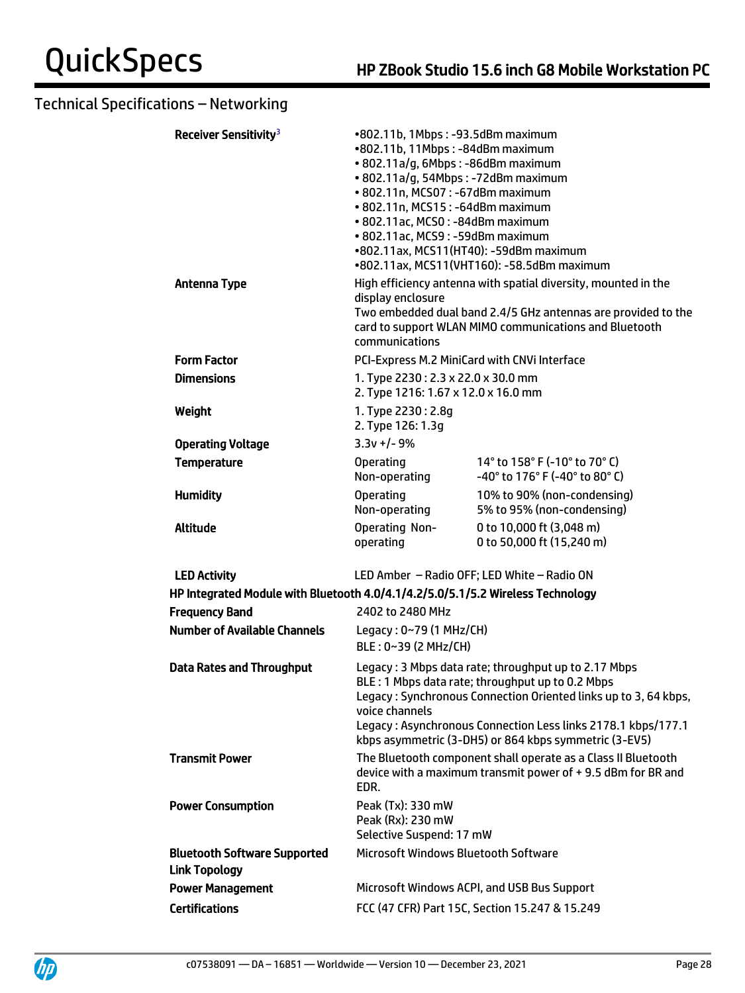| Receiver Sensitivity <sup>3</sup>                                               | •802.11b, 1Mbps: -93.5dBm maximum<br>•802.11b, 11Mbps: -84dBm maximum<br>• 802.11a/g, 6Mbps: -86dBm maximum<br>• 802.11a/g, 54Mbps: -72dBm maximum<br>• 802.11n, MCS07: -67dBm maximum<br>• 802.11n, MCS15: -64dBm maximum<br>• 802.11ac, MCS0: -84dBm maximum<br>• 802.11ac, MCS9: -59dBm maximum<br>•802.11ax, MCS11(HT40): -59dBm maximum | •802.11ax, MCS11(VHT160): -58.5dBm maximum                                                                                                                                                                                                                                                           |
|---------------------------------------------------------------------------------|----------------------------------------------------------------------------------------------------------------------------------------------------------------------------------------------------------------------------------------------------------------------------------------------------------------------------------------------|------------------------------------------------------------------------------------------------------------------------------------------------------------------------------------------------------------------------------------------------------------------------------------------------------|
| <b>Antenna Type</b>                                                             | display enclosure<br>communications                                                                                                                                                                                                                                                                                                          | High efficiency antenna with spatial diversity, mounted in the<br>Two embedded dual band 2.4/5 GHz antennas are provided to the<br>card to support WLAN MIMO communications and Bluetooth                                                                                                            |
| <b>Form Factor</b>                                                              | PCI-Express M.2 MiniCard with CNVi Interface                                                                                                                                                                                                                                                                                                 |                                                                                                                                                                                                                                                                                                      |
| <b>Dimensions</b>                                                               | 1. Type 2230: 2.3 x 22.0 x 30.0 mm<br>2. Type 1216: 1.67 x 12.0 x 16.0 mm                                                                                                                                                                                                                                                                    |                                                                                                                                                                                                                                                                                                      |
| Weight                                                                          | 1. Type 2230: 2.8g<br>2. Type 126: 1.3g                                                                                                                                                                                                                                                                                                      |                                                                                                                                                                                                                                                                                                      |
| <b>Operating Voltage</b>                                                        | $3.3v + (-9)$                                                                                                                                                                                                                                                                                                                                |                                                                                                                                                                                                                                                                                                      |
| <b>Temperature</b>                                                              | <b>Operating</b><br>Non-operating                                                                                                                                                                                                                                                                                                            | 14° to 158° F (-10° to 70° C)<br>-40° to 176° F (-40° to 80° C)                                                                                                                                                                                                                                      |
| <b>Humidity</b>                                                                 | <b>Operating</b><br>Non-operating                                                                                                                                                                                                                                                                                                            | 10% to 90% (non-condensing)<br>5% to 95% (non-condensing)                                                                                                                                                                                                                                            |
| <b>Altitude</b>                                                                 | Operating Non-<br>operating                                                                                                                                                                                                                                                                                                                  | 0 to 10,000 ft (3,048 m)<br>0 to 50,000 ft (15,240 m)                                                                                                                                                                                                                                                |
| <b>LED Activity</b>                                                             |                                                                                                                                                                                                                                                                                                                                              | LED Amber - Radio OFF; LED White - Radio ON                                                                                                                                                                                                                                                          |
| HP Integrated Module with Bluetooth 4.0/4.1/4.2/5.0/5.1/5.2 Wireless Technology |                                                                                                                                                                                                                                                                                                                                              |                                                                                                                                                                                                                                                                                                      |
| <b>Frequency Band</b>                                                           | 2402 to 2480 MHz                                                                                                                                                                                                                                                                                                                             |                                                                                                                                                                                                                                                                                                      |
| <b>Number of Available Channels</b>                                             | Legacy: 0~79 (1 MHz/CH)<br>BLE: 0~39 (2 MHz/CH)                                                                                                                                                                                                                                                                                              |                                                                                                                                                                                                                                                                                                      |
| <b>Data Rates and Throughput</b>                                                | voice channels                                                                                                                                                                                                                                                                                                                               | Legacy: 3 Mbps data rate; throughput up to 2.17 Mbps<br>BLE: 1 Mbps data rate; throughput up to 0.2 Mbps<br>Legacy: Synchronous Connection Oriented links up to 3, 64 kbps,<br>Legacy: Asynchronous Connection Less links 2178.1 kbps/177.1<br>kbps asymmetric (3-DH5) or 864 kbps symmetric (3-EV5) |
| <b>Transmit Power</b>                                                           | EDR.                                                                                                                                                                                                                                                                                                                                         | The Bluetooth component shall operate as a Class II Bluetooth<br>device with a maximum transmit power of +9.5 dBm for BR and                                                                                                                                                                         |
| <b>Power Consumption</b>                                                        | Peak (Tx): 330 mW<br>Peak (Rx): 230 mW<br>Selective Suspend: 17 mW                                                                                                                                                                                                                                                                           |                                                                                                                                                                                                                                                                                                      |
| <b>Bluetooth Software Supported</b><br><b>Link Topology</b>                     | Microsoft Windows Bluetooth Software                                                                                                                                                                                                                                                                                                         |                                                                                                                                                                                                                                                                                                      |
| <b>Power Management</b>                                                         |                                                                                                                                                                                                                                                                                                                                              | Microsoft Windows ACPI, and USB Bus Support                                                                                                                                                                                                                                                          |
| <b>Certifications</b>                                                           |                                                                                                                                                                                                                                                                                                                                              | FCC (47 CFR) Part 15C, Section 15.247 & 15.249                                                                                                                                                                                                                                                       |



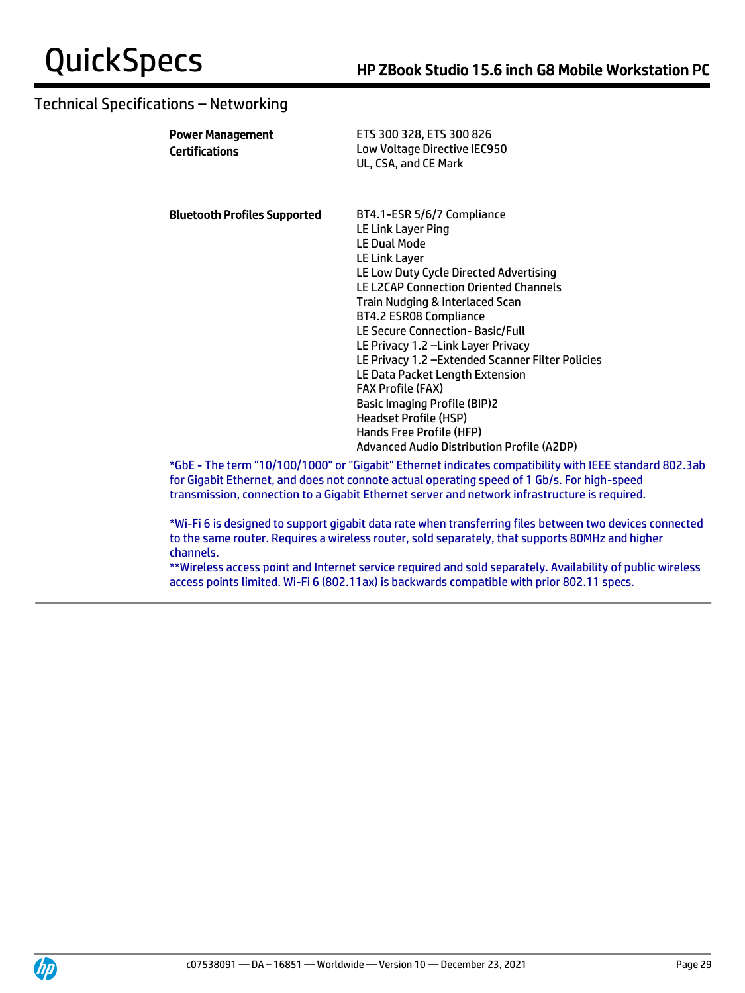| <b>Power Management</b><br>Certifications | ETS 300 328, ETS 300 826<br>Low Voltage Directive IEC950<br>UL, CSA, and CE Mark                                                                                             |
|-------------------------------------------|------------------------------------------------------------------------------------------------------------------------------------------------------------------------------|
| <b>Bluetooth Profiles Supported</b>       | BT4.1-ESR 5/6/7 Compliance<br>LE Link Layer Ping<br><b>LE Dual Mode</b>                                                                                                      |
|                                           | LE Link Layer                                                                                                                                                                |
|                                           | LE Low Duty Cycle Directed Advertising                                                                                                                                       |
|                                           | <b>LE L2CAP Connection Oriented Channels</b>                                                                                                                                 |
|                                           | <b>Train Nudging &amp; Interlaced Scan</b><br>BT4.2 ESR08 Compliance                                                                                                         |
|                                           | LE Secure Connection-Basic/Full                                                                                                                                              |
|                                           | LE Privacy 1.2 - Link Layer Privacy                                                                                                                                          |
|                                           | LE Privacy 1.2 - Extended Scanner Filter Policies                                                                                                                            |
|                                           | LE Data Packet Length Extension                                                                                                                                              |
|                                           | <b>FAX Profile (FAX)</b>                                                                                                                                                     |
|                                           | <b>Basic Imaging Profile (BIP)2</b>                                                                                                                                          |
|                                           | <b>Headset Profile (HSP)</b>                                                                                                                                                 |
|                                           | Hands Free Profile (HFP)                                                                                                                                                     |
|                                           | Advanced Audio Distribution Profile (A2DP)                                                                                                                                   |
|                                           | *GbE - The term "10/100/1000" or "Gigabit" Ethernet indicates compatibility with IEE<br>for Gigabit Ethernet, and does not connote actual operating speed of 1 Gb/s. For hig |

\*GbE - The term "10/100/1000" or "Gigabit" Ethernet indicates compatibility with IEEE standard 802.3ab for Gigabit Ethernet, and does not connote actual operating speed of 1 Gb/s. For high-speed transmission, connection to a Gigabit Ethernet server and network infrastructure is required.

\*Wi-Fi 6 is designed to support gigabit data rate when transferring files between two devices connected to the same router. Requires a wireless router, sold separately, that supports 80MHz and higher channels.

\*\*Wireless access point and Internet service required and sold separately. Availability of public wireless access points limited. Wi-Fi 6 (802.11ax) is backwards compatible with prior 802.11 specs.

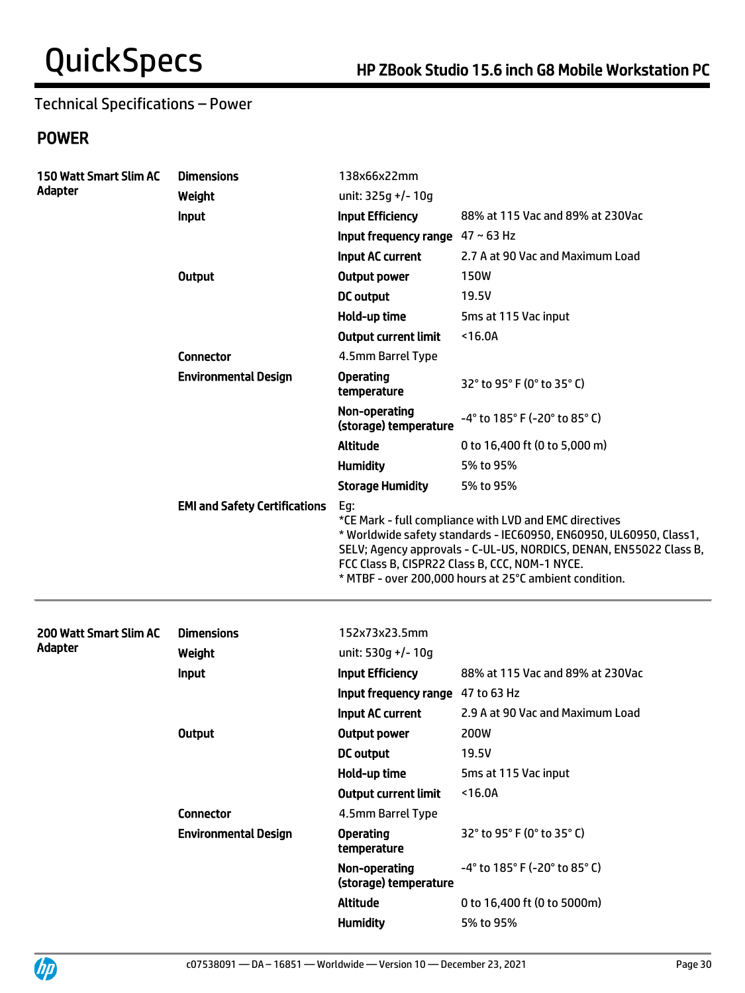# Technical Specifications – Power

# POWER

| 150 Watt Smart Slim AC<br>Adapter | <b>Dimensions</b><br>Weight          | 138x66x22mm<br>unit: 325g +/- 10g                                                                                                                                                                                                                                                                                     |                                                                      |  |
|-----------------------------------|--------------------------------------|-----------------------------------------------------------------------------------------------------------------------------------------------------------------------------------------------------------------------------------------------------------------------------------------------------------------------|----------------------------------------------------------------------|--|
|                                   | Input                                | <b>Input Efficiency</b>                                                                                                                                                                                                                                                                                               | 88% at 115 Vac and 89% at 230Vac                                     |  |
|                                   |                                      | Input frequency range $47 \sim 63$ Hz                                                                                                                                                                                                                                                                                 |                                                                      |  |
|                                   |                                      | Input AC current                                                                                                                                                                                                                                                                                                      | 2.7 A at 90 Vac and Maximum Load                                     |  |
|                                   | <b>Output</b>                        | <b>Output power</b>                                                                                                                                                                                                                                                                                                   | <b>150W</b>                                                          |  |
|                                   |                                      | <b>DC</b> output                                                                                                                                                                                                                                                                                                      | 19.5V                                                                |  |
|                                   |                                      | Hold-up time                                                                                                                                                                                                                                                                                                          | 5ms at 115 Vac input                                                 |  |
|                                   |                                      | <b>Output current limit</b>                                                                                                                                                                                                                                                                                           | $16.0A$                                                              |  |
|                                   | <b>Connector</b>                     | 4.5mm Barrel Type                                                                                                                                                                                                                                                                                                     |                                                                      |  |
|                                   | <b>Environmental Design</b>          | <b>Operating</b><br>temperature                                                                                                                                                                                                                                                                                       | 32° to 95° F (0° to 35° C)                                           |  |
|                                   |                                      | Non-operating<br>(storage) temperature                                                                                                                                                                                                                                                                                | $-4^{\circ}$ to 185 $^{\circ}$ F (-20 $^{\circ}$ to 85 $^{\circ}$ C) |  |
|                                   |                                      | <b>Altitude</b>                                                                                                                                                                                                                                                                                                       | 0 to 16,400 ft (0 to 5,000 m)                                        |  |
|                                   |                                      | <b>Humidity</b>                                                                                                                                                                                                                                                                                                       | 5% to 95%                                                            |  |
|                                   |                                      | <b>Storage Humidity</b>                                                                                                                                                                                                                                                                                               | 5% to 95%                                                            |  |
|                                   | <b>EMI and Safety Certifications</b> | Eg:<br>*CE Mark - full compliance with LVD and EMC directives<br>* Worldwide safety standards - IEC60950, EN60950, UL60950, Class1,<br>SELV; Agency approvals - C-UL-US, NORDICS, DENAN, EN55022 Class B,<br>FCC Class B, CISPR22 Class B, CCC, NOM-1 NYCE.<br>* MTBF - over 200,000 hours at 25°C ambient condition. |                                                                      |  |
|                                   |                                      |                                                                                                                                                                                                                                                                                                                       |                                                                      |  |
| 200 Watt Smart Slim AC            | <b>Dimensions</b>                    | 152x73x23.5mm                                                                                                                                                                                                                                                                                                         |                                                                      |  |
| Adapter                           | Weight                               | unit: 530g +/- 10g                                                                                                                                                                                                                                                                                                    |                                                                      |  |
|                                   | Input                                | <b>Input Efficiency</b>                                                                                                                                                                                                                                                                                               | 88% at 115 Vac and 89% at 230Vac                                     |  |
|                                   |                                      | Input frequency range 47 to 63 Hz                                                                                                                                                                                                                                                                                     |                                                                      |  |
|                                   |                                      | Input AC current                                                                                                                                                                                                                                                                                                      | 2.9 A at 90 Vac and Maximum Load                                     |  |
|                                   | <b>Output</b>                        | <b>Output power</b>                                                                                                                                                                                                                                                                                                   | 200W                                                                 |  |
|                                   |                                      | <b>DC</b> output                                                                                                                                                                                                                                                                                                      | 19.5V                                                                |  |
|                                   |                                      | Hold-up time                                                                                                                                                                                                                                                                                                          | 5ms at 115 Vac input                                                 |  |
|                                   |                                      | <b>Output current limit</b>                                                                                                                                                                                                                                                                                           | $16.0A$                                                              |  |
|                                   | <b>Connector</b>                     | 4.5mm Barrel Type                                                                                                                                                                                                                                                                                                     |                                                                      |  |
|                                   | <b>Environmental Design</b>          | <b>Operating</b><br>temperature                                                                                                                                                                                                                                                                                       | 32° to 95° F (0° to 35° C)                                           |  |
|                                   |                                      | Non-operating<br>(storage) temperature                                                                                                                                                                                                                                                                                | -4° to 185° F (-20° to 85° C)                                        |  |
|                                   |                                      | Altitude                                                                                                                                                                                                                                                                                                              | 0 to 16,400 ft (0 to 5000m)                                          |  |

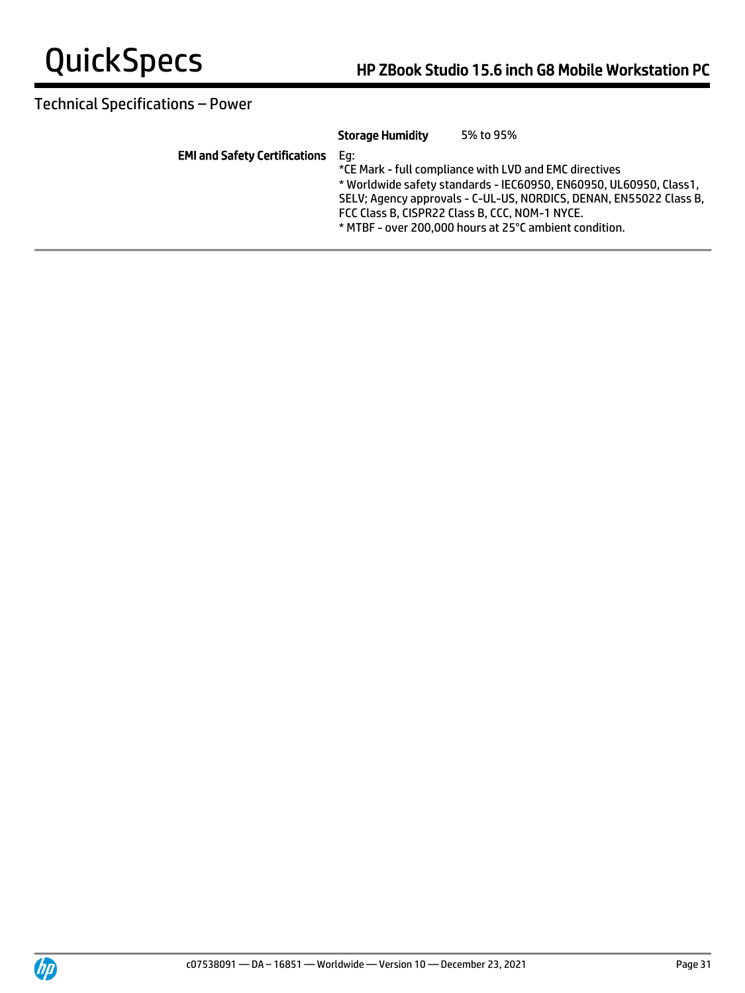

# Technical Specifications – Power

|                                      | <b>Storage Humidity</b> | 5% to 95%                                                          |
|--------------------------------------|-------------------------|--------------------------------------------------------------------|
| <b>EMI and Safety Certifications</b> | Ea:                     |                                                                    |
|                                      |                         | *CE Mark - full compliance with LVD and EMC directives             |
|                                      |                         | * Worldwide safety standards - IEC60950, EN60950, UL60950, Class1, |
|                                      |                         | SELV; Agency approvals - C-UL-US, NORDICS, DENAN, EN55022 Class B, |
|                                      |                         | FCC Class B, CISPR22 Class B, CCC, NOM-1 NYCE.                     |
|                                      |                         | * MTBF - over 200.000 hours at 25°C ambient condition.             |
|                                      |                         |                                                                    |

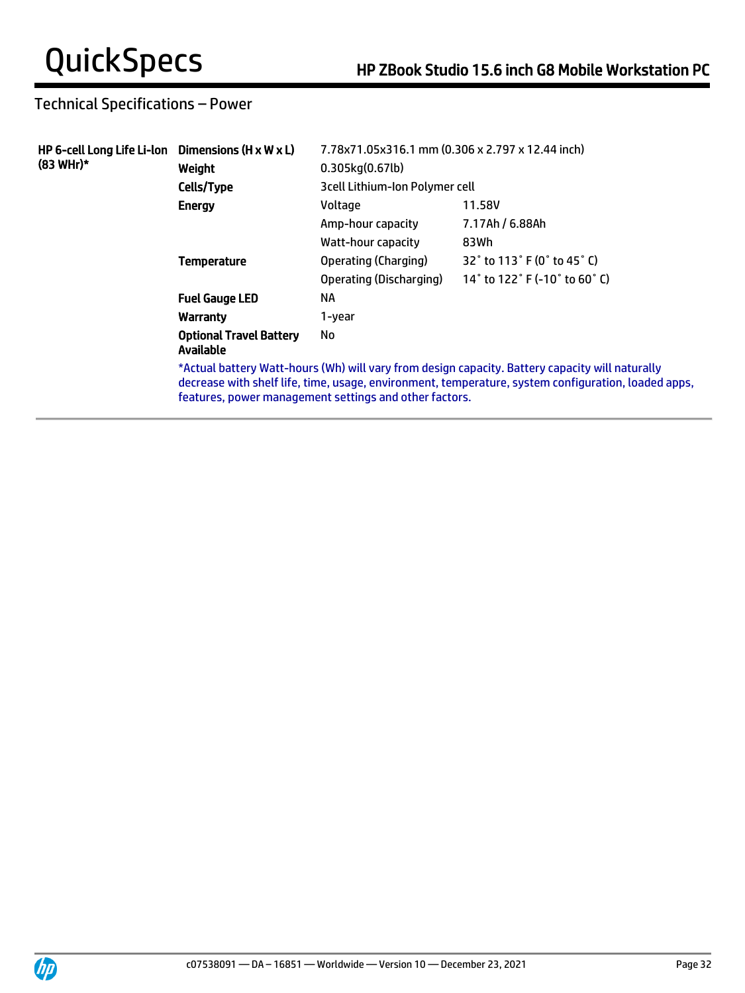# Technical Specifications – Power

| HP 6-cell Long Life Li-lon Dimensions (H $\times$ W $\times$ L)<br>(83 WHr)* | Weight                                      | 7.78x71.05x316.1 mm (0.306 x 2.797 x 12.44 inch)<br>0.305kg(0.67lb) |                                                                                                                                                                                                        |
|------------------------------------------------------------------------------|---------------------------------------------|---------------------------------------------------------------------|--------------------------------------------------------------------------------------------------------------------------------------------------------------------------------------------------------|
|                                                                              | Cells/Type                                  | 3 cell Lithium-Ion Polymer cell                                     |                                                                                                                                                                                                        |
|                                                                              | <b>Energy</b>                               | Voltage                                                             | 11.58V                                                                                                                                                                                                 |
|                                                                              |                                             | Amp-hour capacity                                                   | 7.17Ah / 6.88Ah                                                                                                                                                                                        |
|                                                                              |                                             | Watt-hour capacity                                                  | 83Wh                                                                                                                                                                                                   |
|                                                                              | <b>Temperature</b>                          | Operating (Charging)                                                | 32° to 113° F (0° to 45° C)                                                                                                                                                                            |
|                                                                              |                                             | Operating (Discharging)                                             | 14 $^{\circ}$ to 122 $^{\circ}$ F (-10 $^{\circ}$ to 60 $^{\circ}$ C)                                                                                                                                  |
|                                                                              | <b>Fuel Gauge LED</b>                       | ΝA                                                                  |                                                                                                                                                                                                        |
|                                                                              | Warranty                                    | 1-year                                                              |                                                                                                                                                                                                        |
|                                                                              | <b>Optional Travel Battery</b><br>Available | No                                                                  |                                                                                                                                                                                                        |
|                                                                              |                                             | features, power management settings and other factors.              | *Actual battery Watt-hours (Wh) will vary from design capacity. Battery capacity will naturally<br>decrease with shelf life, time, usage, environment, temperature, system configuration, loaded apps, |

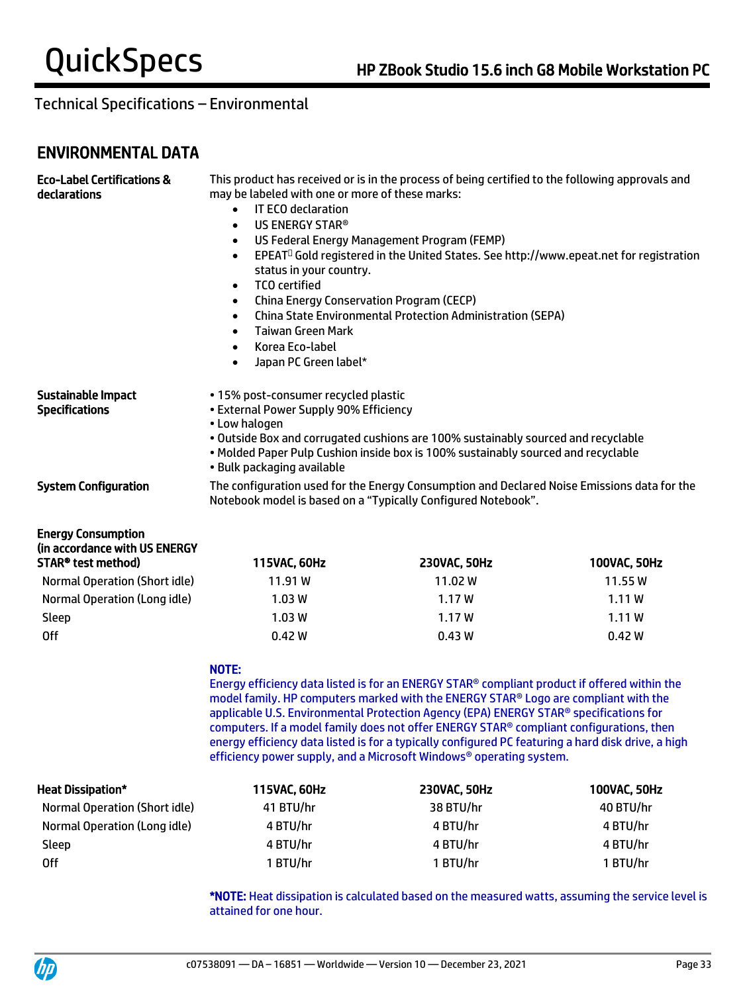# ENVIRONMENTAL DATA

| <b>Eco-Label Certifications &amp;</b><br>declarations                            | This product has received or is in the process of being certified to the following approvals and<br>may be labeled with one or more of these marks:<br>IT ECO declaration<br>$\bullet$<br>US ENERGY STAR®<br>$\bullet$<br>US Federal Energy Management Program (FEMP)<br>$\bullet$<br>EPEAT <sup>O</sup> Gold registered in the United States. See http://www.epeat.net for registration<br>$\bullet$<br>status in your country.<br><b>TCO</b> certified<br>$\bullet$<br>China Energy Conservation Program (CECP)<br>$\bullet$<br><b>China State Environmental Protection Administration (SEPA)</b><br>$\bullet$<br><b>Taiwan Green Mark</b><br>$\bullet$<br>Korea Eco-label<br>$\bullet$<br>Japan PC Green label*<br>$\bullet$ |                                                                                                                                                                                                                                                                                                                                                                                                                                                                                                                                                      |              |  |
|----------------------------------------------------------------------------------|---------------------------------------------------------------------------------------------------------------------------------------------------------------------------------------------------------------------------------------------------------------------------------------------------------------------------------------------------------------------------------------------------------------------------------------------------------------------------------------------------------------------------------------------------------------------------------------------------------------------------------------------------------------------------------------------------------------------------------|------------------------------------------------------------------------------------------------------------------------------------------------------------------------------------------------------------------------------------------------------------------------------------------------------------------------------------------------------------------------------------------------------------------------------------------------------------------------------------------------------------------------------------------------------|--------------|--|
| Sustainable Impact<br><b>Specifications</b>                                      | • 15% post-consumer recycled plastic<br>• External Power Supply 90% Efficiency<br>• Low halogen<br>• Bulk packaging available                                                                                                                                                                                                                                                                                                                                                                                                                                                                                                                                                                                                   | . Outside Box and corrugated cushions are 100% sustainably sourced and recyclable<br>. Molded Paper Pulp Cushion inside box is 100% sustainably sourced and recyclable                                                                                                                                                                                                                                                                                                                                                                               |              |  |
| <b>System Configuration</b>                                                      | The configuration used for the Energy Consumption and Declared Noise Emissions data for the<br>Notebook model is based on a "Typically Configured Notebook".                                                                                                                                                                                                                                                                                                                                                                                                                                                                                                                                                                    |                                                                                                                                                                                                                                                                                                                                                                                                                                                                                                                                                      |              |  |
| <b>Energy Consumption</b><br>(in accordance with US ENERGY<br>STAR® test method) | 115VAC, 60Hz                                                                                                                                                                                                                                                                                                                                                                                                                                                                                                                                                                                                                                                                                                                    | 230VAC, 50Hz                                                                                                                                                                                                                                                                                                                                                                                                                                                                                                                                         | 100VAC, 50Hz |  |
| <b>Normal Operation (Short idle)</b>                                             | 11.91W                                                                                                                                                                                                                                                                                                                                                                                                                                                                                                                                                                                                                                                                                                                          | 11.02W                                                                                                                                                                                                                                                                                                                                                                                                                                                                                                                                               | 11.55W       |  |
| Normal Operation (Long idle)                                                     | 1.03W                                                                                                                                                                                                                                                                                                                                                                                                                                                                                                                                                                                                                                                                                                                           | 1.17W                                                                                                                                                                                                                                                                                                                                                                                                                                                                                                                                                | 1.11W        |  |
| Sleep                                                                            | 1.03W                                                                                                                                                                                                                                                                                                                                                                                                                                                                                                                                                                                                                                                                                                                           | 1.17 W                                                                                                                                                                                                                                                                                                                                                                                                                                                                                                                                               | 1.11W        |  |
| <b>Off</b>                                                                       | 0.42W<br>0.42W<br>0.43W                                                                                                                                                                                                                                                                                                                                                                                                                                                                                                                                                                                                                                                                                                         |                                                                                                                                                                                                                                                                                                                                                                                                                                                                                                                                                      |              |  |
|                                                                                  | <b>NOTE:</b>                                                                                                                                                                                                                                                                                                                                                                                                                                                                                                                                                                                                                                                                                                                    | Energy efficiency data listed is for an ENERGY STAR® compliant product if offered within the<br>model family. HP computers marked with the ENERGY STAR® Logo are compliant with the<br>applicable U.S. Environmental Protection Agency (EPA) ENERGY STAR® specifications for<br>computers. If a model family does not offer ENERGY STAR® compliant configurations, then<br>energy efficiency data listed is for a typically configured PC featuring a hard disk drive, a high<br>efficiency power supply, and a Microsoft Windows® operating system. |              |  |
| <b>Heat Dissipation*</b>                                                         | 115VAC, 60Hz                                                                                                                                                                                                                                                                                                                                                                                                                                                                                                                                                                                                                                                                                                                    | 230VAC, 50Hz                                                                                                                                                                                                                                                                                                                                                                                                                                                                                                                                         | 100VAC, 50Hz |  |
| <b>Normal Operation (Short idle)</b>                                             | 41 BTU/hr                                                                                                                                                                                                                                                                                                                                                                                                                                                                                                                                                                                                                                                                                                                       | 38 BTU/hr                                                                                                                                                                                                                                                                                                                                                                                                                                                                                                                                            | 40 BTU/hr    |  |
| Normal Operation (Long idle)                                                     | 4 BTU/hr                                                                                                                                                                                                                                                                                                                                                                                                                                                                                                                                                                                                                                                                                                                        | 4 BTU/hr                                                                                                                                                                                                                                                                                                                                                                                                                                                                                                                                             | 4 BTU/hr     |  |
| Sleep                                                                            | 4 BTU/hr                                                                                                                                                                                                                                                                                                                                                                                                                                                                                                                                                                                                                                                                                                                        | 4 BTU/hr                                                                                                                                                                                                                                                                                                                                                                                                                                                                                                                                             | 4 BTU/hr     |  |
| <b>Off</b>                                                                       | 1 BTU/hr<br>1 BTU/hr<br>1 BTU/hr                                                                                                                                                                                                                                                                                                                                                                                                                                                                                                                                                                                                                                                                                                |                                                                                                                                                                                                                                                                                                                                                                                                                                                                                                                                                      |              |  |

\*NOTE: Heat dissipation is calculated based on the measured watts, assuming the service level is attained for one hour.

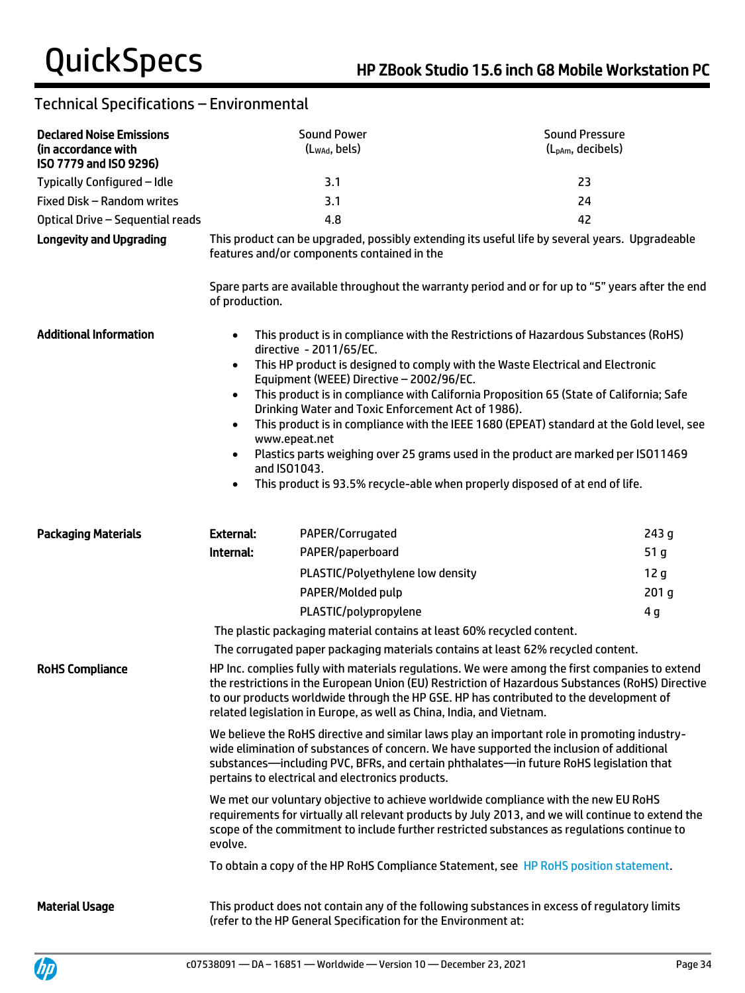| <b>Declared Noise Emissions</b><br>(in accordance with<br>ISO 7779 and ISO 9296)                                                                                                                                                                                                                                                                                                               |                                                                                                                                                                                                                                                           | <b>Sound Power</b><br>(Lwad, bels)                                                                                        | <b>Sound Pressure</b><br>(L <sub>pAm</sub> , decibels)                                                                                                                                                                                                                                                                                                                                                                                           |
|------------------------------------------------------------------------------------------------------------------------------------------------------------------------------------------------------------------------------------------------------------------------------------------------------------------------------------------------------------------------------------------------|-----------------------------------------------------------------------------------------------------------------------------------------------------------------------------------------------------------------------------------------------------------|---------------------------------------------------------------------------------------------------------------------------|--------------------------------------------------------------------------------------------------------------------------------------------------------------------------------------------------------------------------------------------------------------------------------------------------------------------------------------------------------------------------------------------------------------------------------------------------|
| Typically Configured - Idle                                                                                                                                                                                                                                                                                                                                                                    |                                                                                                                                                                                                                                                           | 3.1                                                                                                                       | 23                                                                                                                                                                                                                                                                                                                                                                                                                                               |
| Fixed Disk - Random writes                                                                                                                                                                                                                                                                                                                                                                     |                                                                                                                                                                                                                                                           | 3.1                                                                                                                       | 24                                                                                                                                                                                                                                                                                                                                                                                                                                               |
| Optical Drive - Sequential reads                                                                                                                                                                                                                                                                                                                                                               |                                                                                                                                                                                                                                                           | 42                                                                                                                        |                                                                                                                                                                                                                                                                                                                                                                                                                                                  |
| <b>Longevity and Upgrading</b>                                                                                                                                                                                                                                                                                                                                                                 | 4.8<br>This product can be upgraded, possibly extending its useful life by several years. Upgradeable<br>features and/or components contained in the<br>Spare parts are available throughout the warranty period and or for up to "5" years after the end |                                                                                                                           |                                                                                                                                                                                                                                                                                                                                                                                                                                                  |
| <b>Additional Information</b>                                                                                                                                                                                                                                                                                                                                                                  | of production.<br>$\bullet$<br>$\bullet$<br>www.epeat.net                                                                                                                                                                                                 | directive - 2011/65/EC.<br>Equipment (WEEE) Directive - 2002/96/EC.<br>Drinking Water and Toxic Enforcement Act of 1986). | This product is in compliance with the Restrictions of Hazardous Substances (RoHS)<br>This HP product is designed to comply with the Waste Electrical and Electronic<br>This product is in compliance with California Proposition 65 (State of California; Safe<br>This product is in compliance with the IEEE 1680 (EPEAT) standard at the Gold level, see<br>Plastics parts weighing over 25 grams used in the product are marked per ISO11469 |
|                                                                                                                                                                                                                                                                                                                                                                                                | and ISO1043.<br>$\bullet$                                                                                                                                                                                                                                 |                                                                                                                           | This product is 93.5% recycle-able when properly disposed of at end of life.                                                                                                                                                                                                                                                                                                                                                                     |
| <b>Packaging Materials</b>                                                                                                                                                                                                                                                                                                                                                                     | <b>External:</b>                                                                                                                                                                                                                                          | PAPER/Corrugated                                                                                                          | 243g                                                                                                                                                                                                                                                                                                                                                                                                                                             |
|                                                                                                                                                                                                                                                                                                                                                                                                | Internal:                                                                                                                                                                                                                                                 | PAPER/paperboard                                                                                                          | 51 <sub>g</sub>                                                                                                                                                                                                                                                                                                                                                                                                                                  |
|                                                                                                                                                                                                                                                                                                                                                                                                |                                                                                                                                                                                                                                                           | PLASTIC/Polyethylene low density                                                                                          | 12 <sub>g</sub>                                                                                                                                                                                                                                                                                                                                                                                                                                  |
|                                                                                                                                                                                                                                                                                                                                                                                                |                                                                                                                                                                                                                                                           | PAPER/Molded pulp                                                                                                         | 201 <sub>g</sub>                                                                                                                                                                                                                                                                                                                                                                                                                                 |
|                                                                                                                                                                                                                                                                                                                                                                                                |                                                                                                                                                                                                                                                           | PLASTIC/polypropylene                                                                                                     | 4g                                                                                                                                                                                                                                                                                                                                                                                                                                               |
|                                                                                                                                                                                                                                                                                                                                                                                                |                                                                                                                                                                                                                                                           | The plastic packaging material contains at least 60% recycled content.                                                    |                                                                                                                                                                                                                                                                                                                                                                                                                                                  |
|                                                                                                                                                                                                                                                                                                                                                                                                |                                                                                                                                                                                                                                                           |                                                                                                                           | The corrugated paper packaging materials contains at least 62% recycled content.                                                                                                                                                                                                                                                                                                                                                                 |
| <b>RoHS Compliance</b><br>HP Inc. complies fully with materials regulations. We were among the first companies to extend<br>the restrictions in the European Union (EU) Restriction of Hazardous Substances (RoHS) Directive<br>to our products worldwide through the HP GSE. HP has contributed to the development of<br>related legislation in Europe, as well as China, India, and Vietnam. |                                                                                                                                                                                                                                                           |                                                                                                                           |                                                                                                                                                                                                                                                                                                                                                                                                                                                  |
| We believe the RoHS directive and similar laws play an important role in promoting industry-<br>wide elimination of substances of concern. We have supported the inclusion of additional<br>substances-including PVC, BFRs, and certain phthalates-in future RoHS legislation that<br>pertains to electrical and electronics products.                                                         |                                                                                                                                                                                                                                                           |                                                                                                                           |                                                                                                                                                                                                                                                                                                                                                                                                                                                  |
|                                                                                                                                                                                                                                                                                                                                                                                                | evolve.                                                                                                                                                                                                                                                   |                                                                                                                           | We met our voluntary objective to achieve worldwide compliance with the new EU RoHS<br>requirements for virtually all relevant products by July 2013, and we will continue to extend the<br>scope of the commitment to include further restricted substances as regulations continue to                                                                                                                                                          |
|                                                                                                                                                                                                                                                                                                                                                                                                |                                                                                                                                                                                                                                                           |                                                                                                                           | To obtain a copy of the HP RoHS Compliance Statement, see HP RoHS position statement.                                                                                                                                                                                                                                                                                                                                                            |
| <b>Material Usage</b>                                                                                                                                                                                                                                                                                                                                                                          |                                                                                                                                                                                                                                                           | (refer to the HP General Specification for the Environment at:                                                            | This product does not contain any of the following substances in excess of regulatory limits                                                                                                                                                                                                                                                                                                                                                     |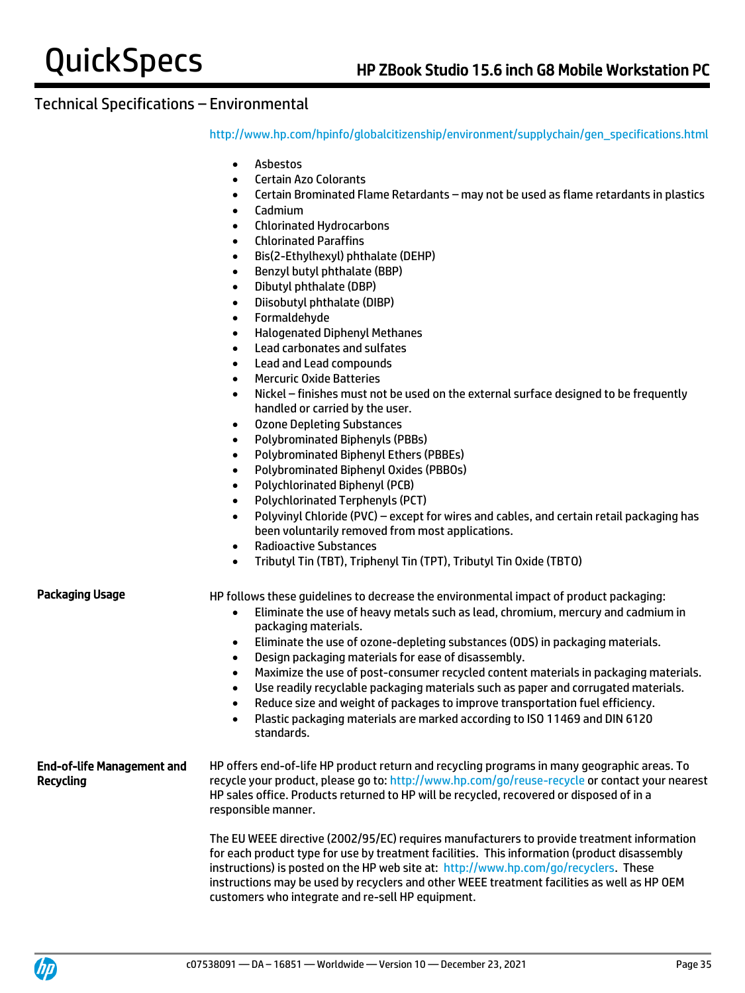[http://www.hp.com/hpinfo/globalcitizenship/environment/supplychain/gen\\_specifications.html](http://www.hp.com/hpinfo/globalcitizenship/environment/supplychain/gen_specifications.html)

- Asbestos
- Certain Azo Colorants
- Certain Brominated Flame Retardants may not be used as flame retardants in plastics
- Cadmium
- Chlorinated Hydrocarbons
- Chlorinated Paraffins
- Bis(2-Ethylhexyl) phthalate (DEHP)
- Benzyl butyl phthalate (BBP)
- Dibutyl phthalate (DBP)
- Diisobutyl phthalate (DIBP)
- Formaldehyde
- Halogenated Diphenyl Methanes
- Lead carbonates and sulfates
- Lead and Lead compounds
- Mercuric Oxide Batteries
- Nickel finishes must not be used on the external surface designed to be frequently handled or carried by the user.
- Ozone Depleting Substances
- Polybrominated Biphenyls (PBBs)
- Polybrominated Biphenyl Ethers (PBBEs)
- Polybrominated Biphenyl Oxides (PBBOs)
- Polychlorinated Biphenyl (PCB)
- Polychlorinated Terphenyls (PCT)
- Polyvinyl Chloride (PVC) except for wires and cables, and certain retail packaging has been voluntarily removed from most applications.
- Radioactive Substances
- Tributyl Tin (TBT), Triphenyl Tin (TPT), Tributyl Tin Oxide (TBTO)

Packaging Usage HP follows these quidelines to decrease the environmental impact of product packaging:

- Eliminate the use of heavy metals such as lead, chromium, mercury and cadmium in packaging materials.
- Eliminate the use of ozone-depleting substances (ODS) in packaging materials.
- Design packaging materials for ease of disassembly.
- Maximize the use of post-consumer recycled content materials in packaging materials.
- Use readily recyclable packaging materials such as paper and corrugated materials.
- Reduce size and weight of packages to improve transportation fuel efficiency.
- Plastic packaging materials are marked according to ISO 11469 and DIN 6120 standards.

#### End-of-life Management and Recycling HP offers end-of-life HP product return and recycling programs in many geographic areas. To recycle your product, please go to:<http://www.hp.com/go/reuse-recycle> or contact your nearest HP sales office. Products returned to HP will be recycled, recovered or disposed of in a responsible manner.

The EU WEEE directive (2002/95/EC) requires manufacturers to provide treatment information for each product type for use by treatment facilities. This information (product disassembly instructions) is posted on the HP web site at: [http://www.hp.com/go/recyclers.](http://www.hp.com/go/recyclers) These instructions may be used by recyclers and other WEEE treatment facilities as well as HP OEM customers who integrate and re-sell HP equipment.

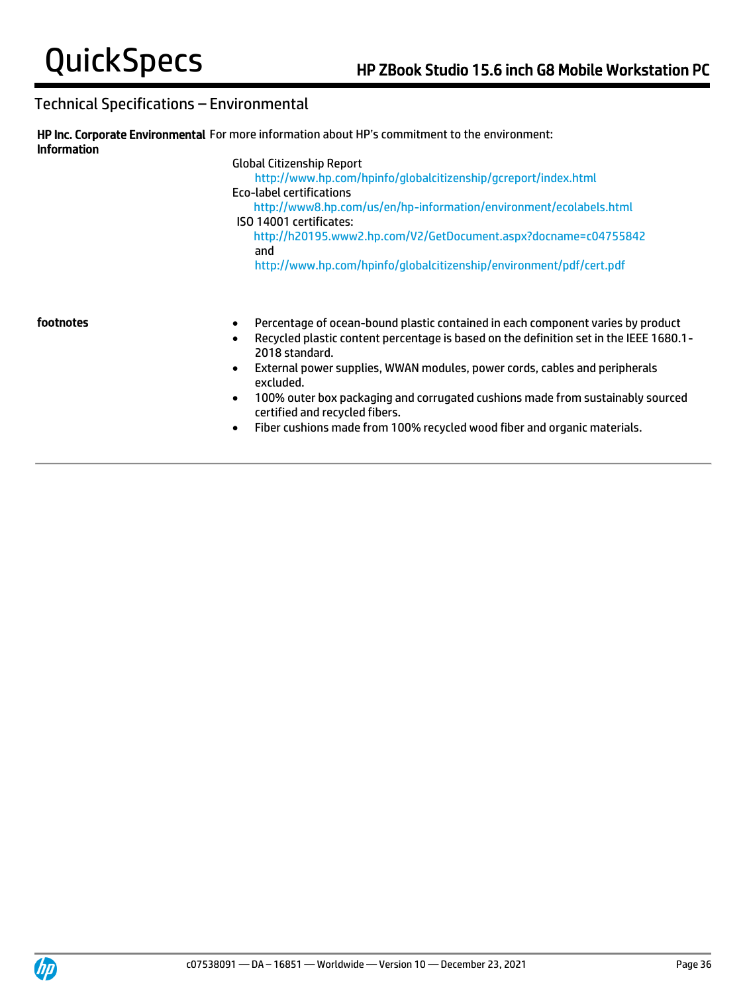| <b>Information</b> | HP Inc. Corporate Environmental For more information about HP's commitment to the environment:                                                                                                                                                                                                                                                                                   |
|--------------------|----------------------------------------------------------------------------------------------------------------------------------------------------------------------------------------------------------------------------------------------------------------------------------------------------------------------------------------------------------------------------------|
|                    | <b>Global Citizenship Report</b><br>http://www.hp.com/hpinfo/qlobalcitizenship/qcreport/index.html<br>Eco-label certifications<br>http://www8.hp.com/us/en/hp-information/environment/ecolabels.html<br>ISO 14001 certificates:<br>http://h20195.www2.hp.com/V2/GetDocument.aspx?docname=c04755842<br>and<br>http://www.hp.com/hpinfo/globalcitizenship/environment/pdf/cert.pdf |
| footnotes          | Percentage of ocean-bound plastic contained in each component varies by product<br>$\bullet$<br>Recycled plastic content percentage is based on the definition set in the IEEE 1680.1-<br>2018 standard.<br>External power supplies, WWAN modules, power cords, cables and peripherals<br>$\bullet$<br>excluded.                                                                 |

- 100% outer box packaging and corrugated cushions made from sustainably sourced certified and recycled fibers.
- Fiber cushions made from 100% recycled wood fiber and organic materials.

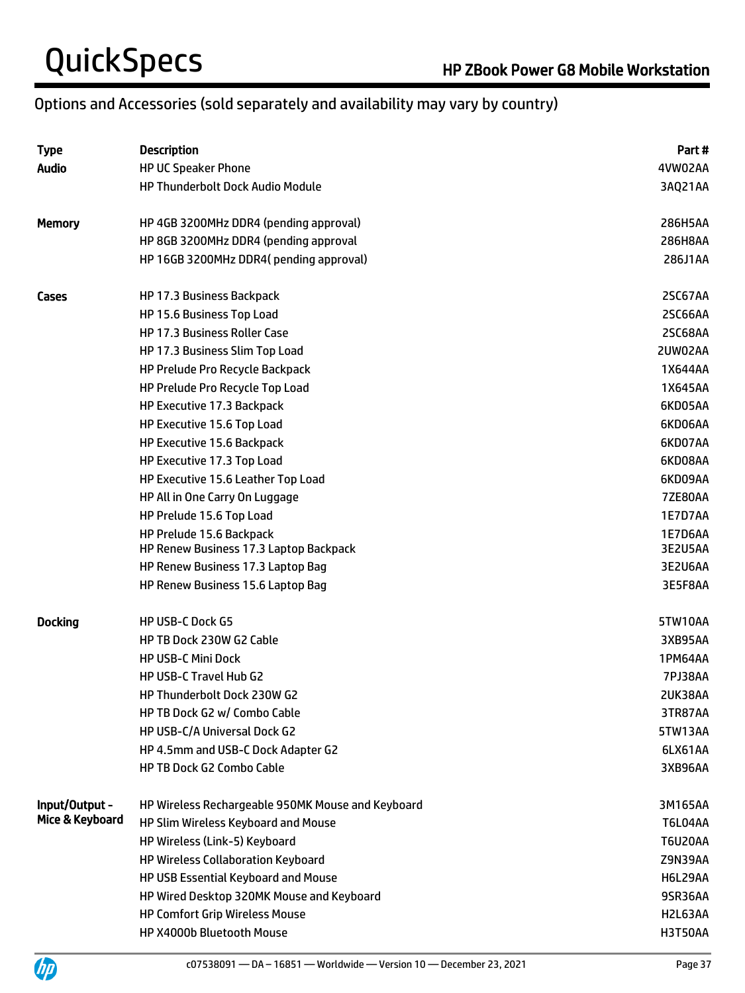# QuickSpecs<br>
HP ZBook Power G8 Mobile Workstation

# Options and Accessories (sold separately and availability may vary by country)

| <b>Type</b>     | <b>Description</b>                                | Part#          |
|-----------------|---------------------------------------------------|----------------|
| <b>Audio</b>    | <b>HP UC Speaker Phone</b>                        | 4VW02AA        |
|                 | <b>HP Thunderbolt Dock Audio Module</b>           | 3AQ21AA        |
| <b>Memory</b>   | HP 4GB 3200MHz DDR4 (pending approval)            | 286H5AA        |
|                 | HP 8GB 3200MHz DDR4 (pending approval             | 286H8AA        |
|                 | HP 16GB 3200MHz DDR4(pending approval)            | 286J1AA        |
| Cases           | HP 17.3 Business Backpack                         | <b>2SC67AA</b> |
|                 | HP 15.6 Business Top Load                         | 2SC66AA        |
|                 | <b>HP 17.3 Business Roller Case</b>               | 2SC68AA        |
|                 | HP 17.3 Business Slim Top Load                    | 2UW02AA        |
|                 | HP Prelude Pro Recycle Backpack                   | 1X644AA        |
|                 | HP Prelude Pro Recycle Top Load                   | 1X645AA        |
|                 | HP Executive 17.3 Backpack                        | 6KD05AA        |
|                 | HP Executive 15.6 Top Load                        | 6KD06AA        |
|                 | HP Executive 15.6 Backpack                        | 6KD07AA        |
|                 | HP Executive 17.3 Top Load                        | 6KD08AA        |
|                 | HP Executive 15.6 Leather Top Load                | 6KD09AA        |
|                 | HP All in One Carry On Luggage                    | <b>7ZE80AA</b> |
|                 | HP Prelude 15.6 Top Load                          | 1E7D7AA        |
|                 | HP Prelude 15.6 Backpack                          | 1E7D6AA        |
|                 | HP Renew Business 17.3 Laptop Backpack            | 3E2U5AA        |
|                 | HP Renew Business 17.3 Laptop Bag                 | 3E2U6AA        |
|                 | HP Renew Business 15.6 Laptop Bag                 | 3E5F8AA        |
| <b>Docking</b>  | <b>HP USB-C Dock G5</b>                           | 5TW10AA        |
|                 | HP TB Dock 230W G2 Cable                          | 3XB95AA        |
|                 | <b>HP USB-C Mini Dock</b>                         | 1PM64AA        |
|                 | HP USB-C Travel Hub G2                            | <b>7PJ38AA</b> |
|                 | <b>HP Thunderbolt Dock 230W G2</b>                | 2UK38AA        |
|                 | HP TB Dock G2 w/ Combo Cable                      | 3TR87AA        |
|                 | HP USB-C/A Universal Dock G2                      | 5TW13AA        |
|                 | HP 4.5mm and USB-C Dock Adapter G2                | 6LX61AA        |
|                 | <b>HP TB Dock G2 Combo Cable</b>                  | 3XB96AA        |
| Input/Output -  | HP Wireless Rechargeable 950MK Mouse and Keyboard | 3M165AA        |
| Mice & Keyboard | HP Slim Wireless Keyboard and Mouse               | T6L04AA        |
|                 | HP Wireless (Link-5) Keyboard                     | <b>T6U20AA</b> |
|                 | HP Wireless Collaboration Keyboard                | Z9N39AA        |
|                 | HP USB Essential Keyboard and Mouse               | <b>H6L29AA</b> |
|                 | HP Wired Desktop 320MK Mouse and Keyboard         | 9SR36AA        |
|                 | <b>HP Comfort Grip Wireless Mouse</b>             | H2L63AA        |
|                 | HP X4000b Bluetooth Mouse                         | H3T50AA        |

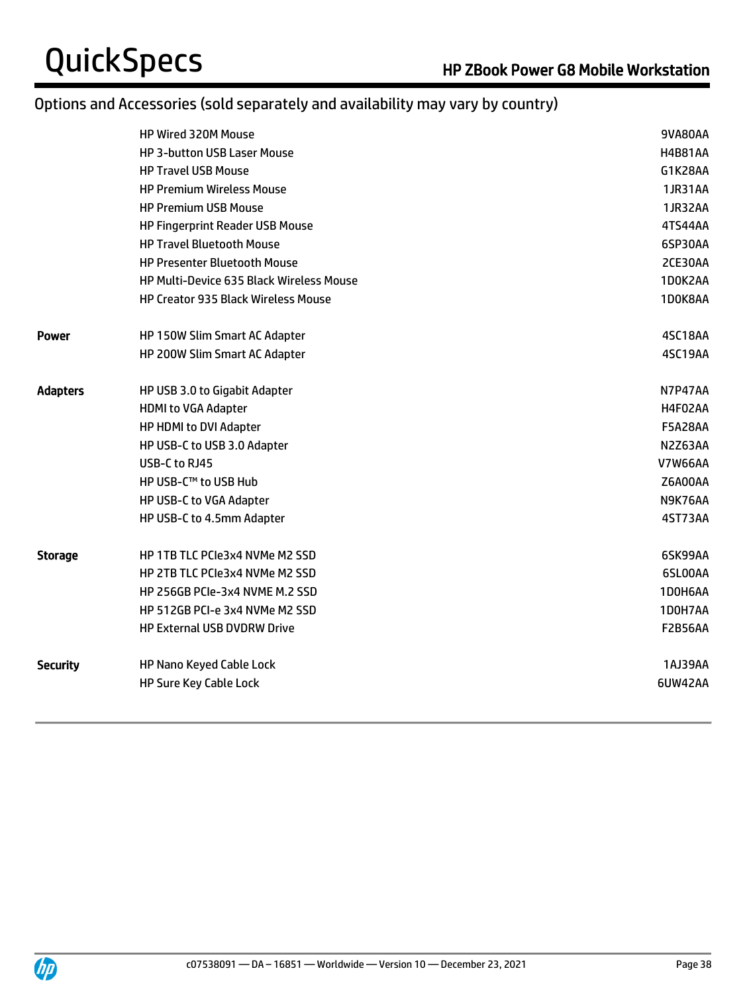# Options and Accessories (sold separately and availability may vary by country)

|                 | <b>HP Wired 320M Mouse</b>               | 9VA80AA        |
|-----------------|------------------------------------------|----------------|
|                 | <b>HP 3-button USB Laser Mouse</b>       | <b>H4B81AA</b> |
|                 | <b>HP Travel USB Mouse</b>               | G1K28AA        |
|                 | <b>HP Premium Wireless Mouse</b>         | 1JR31AA        |
|                 | <b>HP Premium USB Mouse</b>              | 1JR32AA        |
|                 | <b>HP Fingerprint Reader USB Mouse</b>   | 4TS44AA        |
|                 | <b>HP Travel Bluetooth Mouse</b>         | 6SP30AA        |
|                 | <b>HP Presenter Bluetooth Mouse</b>      | 2CE30AA        |
|                 | HP Multi-Device 635 Black Wireless Mouse | 1D0K2AA        |
|                 | HP Creator 935 Black Wireless Mouse      | 1D0K8AA        |
| Power           | HP 150W Slim Smart AC Adapter            | 4SC18AA        |
|                 | HP 200W Slim Smart AC Adapter            | 4SC19AA        |
| <b>Adapters</b> | HP USB 3.0 to Gigabit Adapter            | N7P47AA        |
|                 | <b>HDMI to VGA Adapter</b>               | H4F02AA        |
|                 | HP HDMI to DVI Adapter                   | <b>F5A28AA</b> |
|                 | HP USB-C to USB 3.0 Adapter              | N2Z63AA        |
|                 | USB-C to RJ45                            | <b>V7W66AA</b> |
|                 | HP USB-C™ to USB Hub                     | <b>Z6A00AA</b> |
|                 | HP USB-C to VGA Adapter                  | N9K76AA        |
|                 | HP USB-C to 4.5mm Adapter                | 4ST73AA        |
| Storage         | HP 1TB TLC PCIe3x4 NVMe M2 SSD           | 6SK99AA        |
|                 | HP 2TB TLC PCIe3x4 NVMe M2 SSD           | 6SL00AA        |
|                 | HP 256GB PCIe-3x4 NVME M.2 SSD           | 1D0H6AA        |
|                 | HP 512GB PCI-e 3x4 NVMe M2 SSD           | 1D0H7AA        |
|                 | <b>HP External USB DVDRW Drive</b>       | <b>F2B56AA</b> |
| <b>Security</b> | HP Nano Keyed Cable Lock                 | 1AJ39AA        |
|                 | <b>HP Sure Key Cable Lock</b>            | 6UW42AA        |
|                 |                                          |                |

j